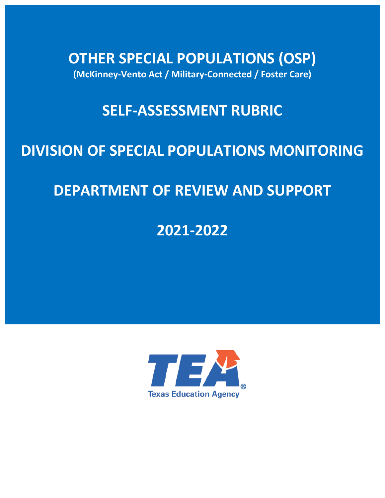**OTHER SPECIAL POPULATIONS (OSP) (McKinney-Vento Act / Military-Connected / Foster Care)** 

# **SELF-ASSESSMENT RUBRIC**

# **DIVISION OF SPECIAL POPULATIONS MONITORING**

# **DEPARTMENT OF REVIEW AND SUPPORT**

**2021-2022** 

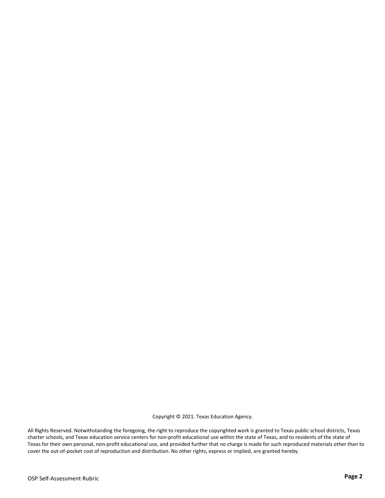Copyright © 2021. Texas Education Agency.

All Rights Reserved. Notwithstanding the foregoing, the right to reproduce the copyrighted work is granted to Texas public school districts, Texas charter schools, and Texas education service centers for non-profit educational use within the state of Texas, and to residents of the state of Texas for their own personal, non-profit educational use, and provided further that no charge is made for such reproduced materials other than to cover the out-of-pocket cost of reproduction and distribution. No other rights, express or implied, are granted hereby.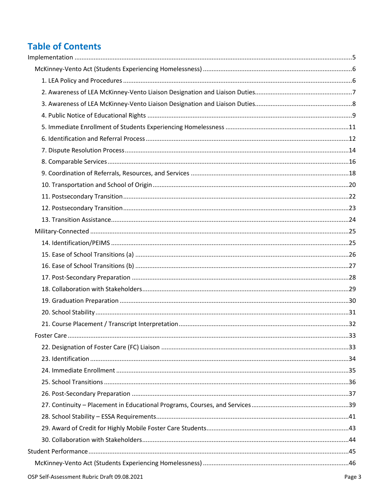# **Table of Contents**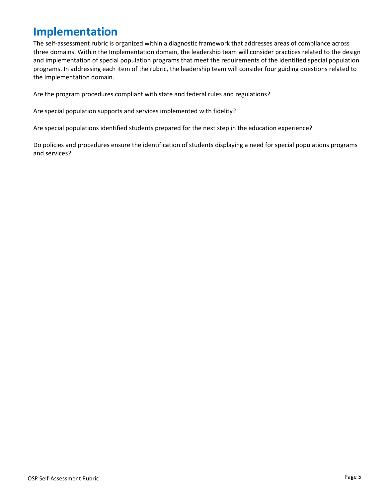# <span id="page-4-0"></span>**Implementation**

The self-assessment rubric is organized within a diagnostic framework that addresses areas of compliance across three domains. Within the Implementation domain, the leadership team will consider practices related to the design and implementation of special population programs that meet the requirements of the identified special population programs. In addressing each item of the rubric, the leadership team will consider four guiding questions related to the Implementation domain.

Are the program procedures compliant with state and federal rules and regulations?

Are special population supports and services implemented with fidelity?

Are special populations identified students prepared for the next step in the education experience?

Do policies and procedures ensure the identification of students displaying a need for special populations programs and services?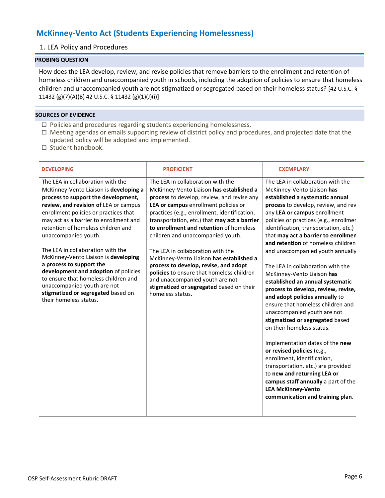# <span id="page-5-1"></span><span id="page-5-0"></span>**McKinney-Vento Act (Students Experiencing Homelessness)**

## 1. LEA Policy and Procedures

## **PROBING QUESTION**

How does the LEA develop, review, and revise policies that remove barriers to the enrollment and retention of homeless children and unaccompanied youth in schools, including the adoption of policies to ensure that homeless children and unaccompanied youth are not stigmatized or segregated based on their homeless status? [42 U.S.C. § 11432 (g)(7)(A)(B) 42 U.S.C. § 11432 (g)(1)(J)(i)]

- $\Box$  Policies and procedures regarding students experiencing homelessness.
- Meeting agendas or emails supporting review of district policy and procedures, and projected date that the updated policy will be adopted and implemented.
- $\Box$  Student handbook.

| <b>DEVELOPING</b>                                                                                                                                                                                                                                                                                                                                                                                                                                                                                                                                                                                    | <b>PROFICIENT</b>                                                                                                                                                                                                                                                                                                                                                                                                                                                                                                                                                                                                             | <b>EXEMPLARY</b>                                                                                                                                                                                                                                                                                                                                                                                                                                                                                                                                                                                                                                                                                                                                                                                                                                                                                                                                                               |
|------------------------------------------------------------------------------------------------------------------------------------------------------------------------------------------------------------------------------------------------------------------------------------------------------------------------------------------------------------------------------------------------------------------------------------------------------------------------------------------------------------------------------------------------------------------------------------------------------|-------------------------------------------------------------------------------------------------------------------------------------------------------------------------------------------------------------------------------------------------------------------------------------------------------------------------------------------------------------------------------------------------------------------------------------------------------------------------------------------------------------------------------------------------------------------------------------------------------------------------------|--------------------------------------------------------------------------------------------------------------------------------------------------------------------------------------------------------------------------------------------------------------------------------------------------------------------------------------------------------------------------------------------------------------------------------------------------------------------------------------------------------------------------------------------------------------------------------------------------------------------------------------------------------------------------------------------------------------------------------------------------------------------------------------------------------------------------------------------------------------------------------------------------------------------------------------------------------------------------------|
| The LEA in collaboration with the<br>McKinney-Vento Liaison is developing a<br>process to support the development,<br>review, and revision of LEA or campus<br>enrollment policies or practices that<br>may act as a barrier to enrollment and<br>retention of homeless children and<br>unaccompanied youth.<br>The LEA in collaboration with the<br>McKinney-Vento Liaison is developing<br>a process to support the<br>development and adoption of policies<br>to ensure that homeless children and<br>unaccompanied youth are not<br>stigmatized or segregated based on<br>their homeless status. | The LEA in collaboration with the<br>McKinney-Vento Liaison has established a<br>process to develop, review, and revise any<br>LEA or campus enrollment policies or<br>practices (e.g., enrollment, identification,<br>transportation, etc.) that may act a barrier<br>to enrollment and retention of homeless<br>children and unaccompanied youth.<br>The LEA in collaboration with the<br>McKinney-Vento Liaison has established a<br>process to develop, revise, and adopt<br>policies to ensure that homeless children<br>and unaccompanied youth are not<br>stigmatized or segregated based on their<br>homeless status. | The LEA in collaboration with the<br>McKinney-Vento Liaison has<br>established a systematic annual<br>process to develop, review, and rev<br>any LEA or campus enrollment<br>policies or practices (e.g., enrollmer<br>identification, transportation, etc.)<br>that may act a barrier to enrollmen<br>and retention of homeless children<br>and unaccompanied youth annually<br>The LEA in collaboration with the<br>McKinney-Vento Liaison has<br>established an annual systematic<br>process to develop, review, revise,<br>and adopt policies annually to<br>ensure that homeless children and<br>unaccompanied youth are not<br>stigmatized or segregated based<br>on their homeless status.<br>Implementation dates of the new<br>or revised policies (e.g.,<br>enrollment, identification,<br>transportation, etc.) are provided<br>to new and returning LEA or<br>campus staff annually a part of the<br><b>LEA McKinney-Vento</b><br>communication and training plan. |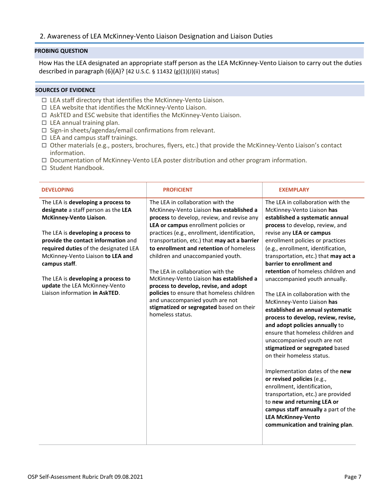## <span id="page-6-0"></span>2. Awareness of LEA McKinney-Vento Liaison Designation and Liaison Duties

### **PROBING QUESTION**

How Has the LEA designated an appropriate staff person as the LEA McKinney-Vento Liaison to carry out the duties described in paragraph (6)(A)? [42 U.S.C. § 11432 (g)(1)(J)(ii) status]

- LEA staff directory that identifies the McKinney-Vento Liaison.
- $\Box$  LEA website that identifies the McKinney-Vento Liaison.
- $\Box$  AskTED and ESC website that identifies the McKinney-Vento Liaison.
- $\Box$  LEA annual training plan.
- $\square$  Sign-in sheets/agendas/email confirmations from relevant.
- $\Box$  LEA and campus staff trainings.
- Other materials (e.g., posters, brochures, flyers, etc.) that provide the McKinney-Vento Liaison's contact information.
- $\Box$  Documentation of McKinney-Vento LEA poster distribution and other program information.
- □ Student Handbook.

| <b>DEVELOPING</b>                                                                                                                                                                                                                                                                                                                                                                         | <b>PROFICIENT</b>                                                                                                                                                                                                                                                                                                                                                                                                                                                                                                                                                                                                             | <b>EXEMPLARY</b>                                                                                                                                                                                                                                                                                                                                                                                                                                                                                                                                                                                                                                                                                                                                                                                                                                                                                                                                                                         |
|-------------------------------------------------------------------------------------------------------------------------------------------------------------------------------------------------------------------------------------------------------------------------------------------------------------------------------------------------------------------------------------------|-------------------------------------------------------------------------------------------------------------------------------------------------------------------------------------------------------------------------------------------------------------------------------------------------------------------------------------------------------------------------------------------------------------------------------------------------------------------------------------------------------------------------------------------------------------------------------------------------------------------------------|------------------------------------------------------------------------------------------------------------------------------------------------------------------------------------------------------------------------------------------------------------------------------------------------------------------------------------------------------------------------------------------------------------------------------------------------------------------------------------------------------------------------------------------------------------------------------------------------------------------------------------------------------------------------------------------------------------------------------------------------------------------------------------------------------------------------------------------------------------------------------------------------------------------------------------------------------------------------------------------|
| The LEA is developing a process to<br>designate a staff person as the LEA<br>McKinney-Vento Liaison.<br>The LEA is developing a process to<br>provide the contact information and<br>required duties of the designated LEA<br>McKinney-Vento Liaison to LEA and<br>campus staff.<br>The LEA is developing a process to<br>update the LEA McKinney-Vento<br>Liaison information in AskTED. | The LEA in collaboration with the<br>McKinney-Vento Liaison has established a<br>process to develop, review, and revise any<br>LEA or campus enrollment policies or<br>practices (e.g., enrollment, identification,<br>transportation, etc.) that may act a barrier<br>to enrollment and retention of homeless<br>children and unaccompanied youth.<br>The LEA in collaboration with the<br>McKinney-Vento Liaison has established a<br>process to develop, revise, and adopt<br>policies to ensure that homeless children<br>and unaccompanied youth are not<br>stigmatized or segregated based on their<br>homeless status. | The LEA in collaboration with the<br>McKinney-Vento Liaison has<br>established a systematic annual<br>process to develop, review, and<br>revise any LEA or campus<br>enrollment policies or practices<br>(e.g., enrollment, identification,<br>transportation, etc.) that may act a<br>barrier to enrollment and<br>retention of homeless children and<br>unaccompanied youth annually.<br>The LEA in collaboration with the<br>McKinney-Vento Liaison has<br>established an annual systematic<br>process to develop, review, revise,<br>and adopt policies annually to<br>ensure that homeless children and<br>unaccompanied youth are not<br>stigmatized or segregated based<br>on their homeless status.<br>Implementation dates of the new<br>or revised policies (e.g.,<br>enrollment, identification,<br>transportation, etc.) are provided<br>to new and returning LEA or<br>campus staff annually a part of the<br><b>LEA McKinney-Vento</b><br>communication and training plan. |
|                                                                                                                                                                                                                                                                                                                                                                                           |                                                                                                                                                                                                                                                                                                                                                                                                                                                                                                                                                                                                                               |                                                                                                                                                                                                                                                                                                                                                                                                                                                                                                                                                                                                                                                                                                                                                                                                                                                                                                                                                                                          |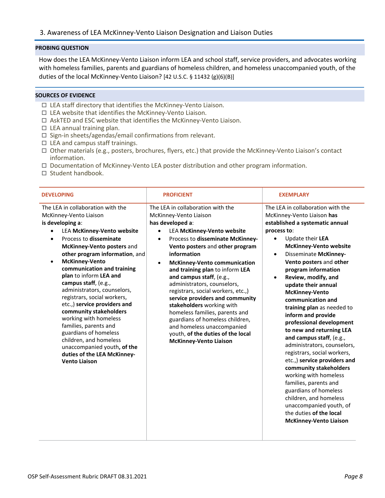<span id="page-7-0"></span>How does the LEA McKinney-Vento Liaison inform LEA and school staff, service providers, and advocates working with homeless families, parents and guardians of homeless children, and homeless unaccompanied youth, of the duties of the local McKinney-Vento Liaison? [42 U.S.C. § 11432 (g)(6)(B)]

- LEA staff directory that identifies the McKinney-Vento Liaison.
- $\Box$  LEA website that identifies the McKinney-Vento Liaison.
- $\Box$  AskTED and ESC website that identifies the McKinney-Vento Liaison.
- $\Box$  LEA annual training plan.
- $\square$  Sign-in sheets/agendas/email confirmations from relevant.
- $\Box$  LEA and campus staff trainings.
- $\Box$  Other materials (e.g., posters, brochures, flyers, etc.) that provide the McKinney-Vento Liaison's contact information.
- $\Box$  Documentation of McKinney-Vento LEA poster distribution and other program information.
- $\Box$  Student handbook.

| <b>DEVELOPING</b>                                                                                                                                                                                                                                                                                                                                                                                                                                                                                                                                                                                                                                                    | <b>PROFICIENT</b>                                                                                                                                                                                                                                                                                                                                                                                                                                                                                                                                                                                                                                                     | <b>EXEMPLARY</b>                                                                                                                                                                                                                                                                                                                                                                                                                                                                                                                                                                                                                                                                                                                                                                                                                                 |
|----------------------------------------------------------------------------------------------------------------------------------------------------------------------------------------------------------------------------------------------------------------------------------------------------------------------------------------------------------------------------------------------------------------------------------------------------------------------------------------------------------------------------------------------------------------------------------------------------------------------------------------------------------------------|-----------------------------------------------------------------------------------------------------------------------------------------------------------------------------------------------------------------------------------------------------------------------------------------------------------------------------------------------------------------------------------------------------------------------------------------------------------------------------------------------------------------------------------------------------------------------------------------------------------------------------------------------------------------------|--------------------------------------------------------------------------------------------------------------------------------------------------------------------------------------------------------------------------------------------------------------------------------------------------------------------------------------------------------------------------------------------------------------------------------------------------------------------------------------------------------------------------------------------------------------------------------------------------------------------------------------------------------------------------------------------------------------------------------------------------------------------------------------------------------------------------------------------------|
| The LEA in collaboration with the<br>McKinney-Vento Liaison<br>is developing a:<br><b>LEA McKinney-Vento website</b><br>Process to disseminate<br>$\bullet$<br>McKinney-Vento posters and<br>other program information, and<br><b>McKinney-Vento</b><br>$\bullet$<br>communication and training<br>plan to inform LEA and<br>campus staff, (e.g.,<br>administrators, counselors,<br>registrars, social workers,<br>etc.,) service providers and<br>community stakeholders<br>working with homeless<br>families, parents and<br>guardians of homeless<br>children, and homeless<br>unaccompanied youth, of the<br>duties of the LEA McKinney-<br><b>Vento Liaison</b> | The LEA in collaboration with the<br>McKinney-Vento Liaison<br>has developed a:<br><b>LEA McKinney-Vento website</b><br>$\bullet$<br>Process to disseminate McKinney-<br>$\bullet$<br>Vento posters and other program<br>information<br><b>McKinney-Vento communication</b><br>$\bullet$<br>and training plan to inform LEA<br>and campus staff, (e.g.,<br>administrators, counselors,<br>registrars, social workers, etc.,)<br>service providers and community<br>stakeholders working with<br>homeless families, parents and<br>guardians of homeless children,<br>and homeless unaccompanied<br>youth, of the duties of the local<br><b>McKinney-Vento Liaison</b> | The LEA in collaboration with the<br>McKinney-Vento Liaison has<br>established a systematic annual<br>process to:<br>Update their LEA<br>$\bullet$<br><b>McKinney-Vento website</b><br>Disseminate McKinney-<br>$\bullet$<br>Vento posters and other<br>program information<br>Review, modify, and<br>$\bullet$<br>update their annual<br><b>McKinney-Vento</b><br>communication and<br>training plan as needed to<br>inform and provide<br>professional development<br>to new and returning LEA<br>and campus staff, (e.g.,<br>administrators, counselors,<br>registrars, social workers,<br>etc.,) service providers and<br>community stakeholders<br>working with homeless<br>families, parents and<br>guardians of homeless<br>children, and homeless<br>unaccompanied youth, of<br>the duties of the local<br><b>McKinney-Vento Liaison</b> |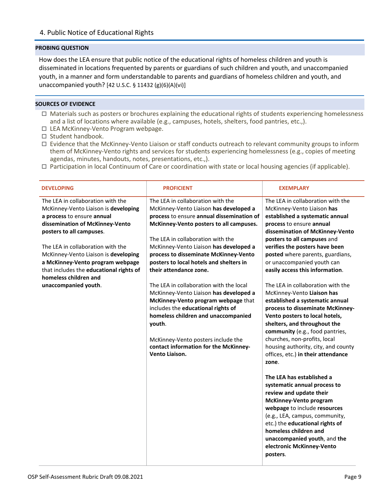## <span id="page-8-0"></span>4. Public Notice of Educational Rights

#### **PROBING QUESTION**

How does the LEA ensure that public notice of the educational rights of homeless children and youth is disseminated in locations frequented by parents or guardians of such children and youth, and unaccompanied youth, in a manner and form understandable to parents and guardians of homeless children and youth, and unaccompanied youth? [42 U.S.C. § 11432 (g)(6)(A)(vi)]

- Materials such as posters or brochures explaining the educational rights of students experiencing homelessness and a list of locations where available (e.g., campuses, hotels, shelters, food pantries, etc.,).
- $\Box$  LEA McKinney-Vento Program webpage.
- $\Box$  Student handbook.
- $\Box$  Evidence that the McKinney-Vento Liaison or staff conducts outreach to relevant community groups to inform them of McKinney-Vento rights and services for students experiencing homelessness (e.g., copies of meeting agendas, minutes, handouts, notes, presentations, etc.,).
- $\Box$  Participation in local Continuum of Care or coordination with state or local housing agencies (if applicable).

| <b>DEVELOPING</b>                                                                                                                                                                                                                                                                                                                                           | <b>PROFICIENT</b>                                                                                                                                                                                                                                                                                                                                                | <b>EXEMPLARY</b>                                                                                                                                                                                                                                                                                                                                                  |
|-------------------------------------------------------------------------------------------------------------------------------------------------------------------------------------------------------------------------------------------------------------------------------------------------------------------------------------------------------------|------------------------------------------------------------------------------------------------------------------------------------------------------------------------------------------------------------------------------------------------------------------------------------------------------------------------------------------------------------------|-------------------------------------------------------------------------------------------------------------------------------------------------------------------------------------------------------------------------------------------------------------------------------------------------------------------------------------------------------------------|
| The LEA in collaboration with the<br>McKinney-Vento Liaison is developing<br>a process to ensure annual<br>dissemination of McKinney-Vento<br>posters to all campuses.<br>The LEA in collaboration with the<br>McKinney-Vento Liaison is developing<br>a McKinney-Vento program webpage<br>that includes the educational rights of<br>homeless children and | The LEA in collaboration with the<br>McKinney-Vento Liaison has developed a<br>process to ensure annual dissemination of<br>McKinney-Vento posters to all campuses.<br>The LEA in collaboration with the<br>McKinney-Vento Liaison has developed a<br>process to disseminate McKinney-Vento<br>posters to local hotels and shelters in<br>their attendance zone. | The LEA in collaboration with the<br>McKinney-Vento Liaison has<br>established a systematic annual<br>process to ensure annual<br>dissemination of McKinney-Vento<br>posters to all campuses and<br>verifies the posters have been<br>posted where parents, guardians,<br>or unaccompanied youth can<br>easily access this information.                           |
| unaccompanied youth.                                                                                                                                                                                                                                                                                                                                        | The LEA in collaboration with the local<br>McKinney-Vento Liaison has developed a<br>McKinney-Vento program webpage that<br>includes the educational rights of<br>homeless children and unaccompanied<br>youth.<br>McKinney-Vento posters include the<br>contact information for the McKinney-<br>Vento Liaison.                                                 | The LEA in collaboration with the<br>McKinney-Vento Liaison has<br>established a systematic annual<br>process to disseminate McKinney-<br>Vento posters to local hotels,<br>shelters, and throughout the<br>community (e.g., food pantries,<br>churches, non-profits, local<br>housing authority, city, and county<br>offices, etc.) in their attendance<br>zone. |
|                                                                                                                                                                                                                                                                                                                                                             |                                                                                                                                                                                                                                                                                                                                                                  | The LEA has established a<br>systematic annual process to<br>review and update their<br><b>McKinney-Vento program</b><br>webpage to include resources<br>(e.g., LEA, campus, community,<br>etc.) the educational rights of<br>homeless children and<br>unaccompanied youth, and the<br>electronic McKinney-Vento<br>posters.                                      |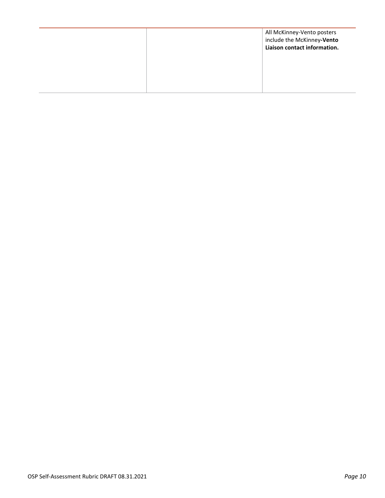|  | All McKinney-Vento posters<br>include the McKinney-Vento<br>Liaison contact information. |
|--|------------------------------------------------------------------------------------------|
|  |                                                                                          |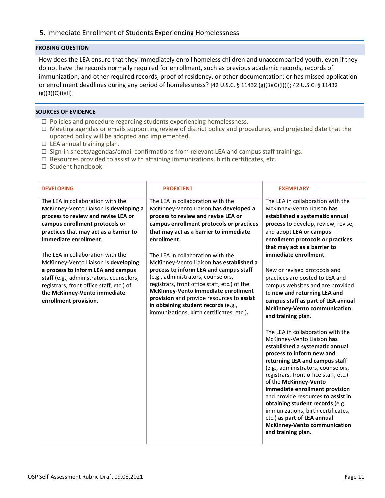<span id="page-10-0"></span>How does the LEA ensure that they immediately enroll homeless children and unaccompanied youth, even if they do not have the records normally required for enrollment, such as previous academic records, records of immunization, and other required records, proof of residency, or other documentation; or has missed application or enrollment deadlines during any period of homelessness? [42 U.S.C. § 11432 (g)(3)(C)(i)(l); 42 U.S.C. § 11432  $(g)(3)(C)(i)(II)]$ 

- $\Box$  Policies and procedure regarding students experiencing homelessness.
- $\Box$  Meeting agendas or emails supporting review of district policy and procedures, and projected date that the updated policy will be adopted and implemented.
- $\Box$  LEA annual training plan.
- $\Box$  Sign-in sheets/agendas/email confirmations from relevant LEA and campus staff trainings.
- $\Box$  Resources provided to assist with attaining immunizations, birth certificates, etc.
- $\square$  Student handbook.

| <b>DEVELOPING</b>                                                                                                                                                                                                                                                                                                                                                                                                                                                                           | <b>PROFICIENT</b>                                                                                                                                                                                                                                                                                                                                                                                                                                                                                                                                                                                                | <b>EXEMPLARY</b>                                                                                                                                                                                                                                                                                                                                                                                                                                                                                                                                                                                                                                                                                                                                                                                                                                                                                                                                                                                                  |
|---------------------------------------------------------------------------------------------------------------------------------------------------------------------------------------------------------------------------------------------------------------------------------------------------------------------------------------------------------------------------------------------------------------------------------------------------------------------------------------------|------------------------------------------------------------------------------------------------------------------------------------------------------------------------------------------------------------------------------------------------------------------------------------------------------------------------------------------------------------------------------------------------------------------------------------------------------------------------------------------------------------------------------------------------------------------------------------------------------------------|-------------------------------------------------------------------------------------------------------------------------------------------------------------------------------------------------------------------------------------------------------------------------------------------------------------------------------------------------------------------------------------------------------------------------------------------------------------------------------------------------------------------------------------------------------------------------------------------------------------------------------------------------------------------------------------------------------------------------------------------------------------------------------------------------------------------------------------------------------------------------------------------------------------------------------------------------------------------------------------------------------------------|
| The LEA in collaboration with the<br>McKinney-Vento Liaison is developing a<br>process to review and revise LEA or<br>campus enrollment protocols or<br>practices that may act as a barrier to<br>immediate enrollment.<br>The LEA in collaboration with the<br>McKinney-Vento Liaison is developing<br>a process to inform LEA and campus<br>staff (e.g., administrators, counselors,<br>registrars, front office staff, etc.) of<br>the McKinney-Vento immediate<br>enrollment provision. | The LEA in collaboration with the<br>McKinney-Vento Liaison has developed a<br>process to review and revise LEA or<br>campus enrollment protocols or practices<br>that may act as a barrier to immediate<br>enrollment.<br>The LEA in collaboration with the<br>McKinney-Vento Liaison has established a<br>process to inform LEA and campus staff<br>(e.g., administrators, counselors,<br>registrars, front office staff, etc.) of the<br>McKinney-Vento immediate enrollment<br>provision and provide resources to assist<br>in obtaining student records (e.g.,<br>immunizations, birth certificates, etc.). | The LEA in collaboration with the<br>McKinney-Vento Liaison has<br>established a systematic annual<br>process to develop, review, revise,<br>and adopt LEA or campus<br>enrollment protocols or practices<br>that may act as a barrier to<br>immediate enrollment.<br>New or revised protocols and<br>practices are posted to LEA and<br>campus websites and are provided<br>to new and returning LEA and<br>campus staff as part of LEA annual<br><b>McKinney-Vento communication</b><br>and training plan.<br>The LEA in collaboration with the<br>McKinney-Vento Liaison has<br>established a systematic annual<br>process to inform new and<br>returning LEA and campus staff<br>(e.g., administrators, counselors,<br>registrars, front office staff, etc.)<br>of the McKinney-Vento<br>immediate enrollment provision<br>and provide resources to assist in<br>obtaining student records (e.g.,<br>immunizations, birth certificates,<br>etc.) as part of LEA annual<br><b>McKinney-Vento communication</b> |
|                                                                                                                                                                                                                                                                                                                                                                                                                                                                                             |                                                                                                                                                                                                                                                                                                                                                                                                                                                                                                                                                                                                                  | and training plan.                                                                                                                                                                                                                                                                                                                                                                                                                                                                                                                                                                                                                                                                                                                                                                                                                                                                                                                                                                                                |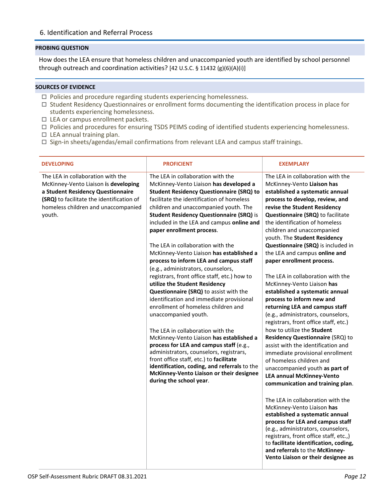## <span id="page-11-0"></span>6. Identification and Referral Process

#### **PROBING QUESTION**

How does the LEA ensure that homeless children and unaccompanied youth are identified by school personnel through outreach and coordination activities? [42 U.S.C. § 11432 (g)(6)(A)(i)]

- $\Box$  Policies and procedure regarding students experiencing homelessness.
- Student Residency Questionnaires or enrollment forms documenting the identification process in place for students experiencing homelessness.
- $\Box$  LEA or campus enrollment packets.
- Policies and procedures for ensuring TSDS PEIMS coding of identified students experiencing homelessness.
- $\Box$  LEA annual training plan.
- $\Box$  Sign-in sheets/agendas/email confirmations from relevant LEA and campus staff trainings.

| <b>DEVELOPING</b>                                                                                                                                                                                            | <b>PROFICIENT</b>                                                                                                                                                                                                                                                                                                                                                                                                                                                                                                                                                                                                                                                                                                                                                                                                                                                                                                                                                                                                                                                                                 | <b>EXEMPLARY</b>                                                                                                                                                                                                                                                                                                                                                                                                                                                                                                                                                                                                                                                                                                                                                                                                                                                                                                                                                                                                                                                                                                                                                                                                                                                                                |
|--------------------------------------------------------------------------------------------------------------------------------------------------------------------------------------------------------------|---------------------------------------------------------------------------------------------------------------------------------------------------------------------------------------------------------------------------------------------------------------------------------------------------------------------------------------------------------------------------------------------------------------------------------------------------------------------------------------------------------------------------------------------------------------------------------------------------------------------------------------------------------------------------------------------------------------------------------------------------------------------------------------------------------------------------------------------------------------------------------------------------------------------------------------------------------------------------------------------------------------------------------------------------------------------------------------------------|-------------------------------------------------------------------------------------------------------------------------------------------------------------------------------------------------------------------------------------------------------------------------------------------------------------------------------------------------------------------------------------------------------------------------------------------------------------------------------------------------------------------------------------------------------------------------------------------------------------------------------------------------------------------------------------------------------------------------------------------------------------------------------------------------------------------------------------------------------------------------------------------------------------------------------------------------------------------------------------------------------------------------------------------------------------------------------------------------------------------------------------------------------------------------------------------------------------------------------------------------------------------------------------------------|
| The LEA in collaboration with the<br>McKinney-Vento Liaison is developing<br>a Student Residency Questionnaire<br>(SRQ) to facilitate the identification of<br>homeless children and unaccompanied<br>youth. | The LEA in collaboration with the<br>McKinney-Vento Liaison has developed a<br><b>Student Residency Questionnaire (SRQ) to</b><br>facilitate the identification of homeless<br>children and unaccompanied youth. The<br><b>Student Residency Questionnaire (SRQ) is</b><br>included in the LEA and campus online and<br>paper enrollment process.<br>The LEA in collaboration with the<br>McKinney-Vento Liaison has established a<br>process to inform LEA and campus staff<br>(e.g., administrators, counselors,<br>registrars, front office staff, etc.) how to<br>utilize the Student Residency<br>Questionnaire (SRQ) to assist with the<br>identification and immediate provisional<br>enrollment of homeless children and<br>unaccompanied youth.<br>The LEA in collaboration with the<br>McKinney-Vento Liaison has established a<br>process for LEA and campus staff (e.g.,<br>administrators, counselors, registrars,<br>front office staff, etc.) to facilitate<br>identification, coding, and referrals to the<br>McKinney-Vento Liaison or their designee<br>during the school year. | The LEA in collaboration with the<br>McKinney-Vento Liaison has<br>established a systematic annual<br>process to develop, review, and<br>revise the Student Residency<br>Questionnaire (SRQ) to facilitate<br>the identification of homeless<br>children and unaccompanied<br>youth. The Student Residency<br>Questionnaire (SRQ) is included in<br>the LEA and campus online and<br>paper enrollment process.<br>The LEA in collaboration with the<br>McKinney-Vento Liaison has<br>established a systematic annual<br>process to inform new and<br>returning LEA and campus staff<br>(e.g., administrators, counselors,<br>registrars, front office staff, etc.)<br>how to utilize the Student<br>Residency Questionnaire (SRQ) to<br>assist with the identification and<br>immediate provisional enrollment<br>of homeless children and<br>unaccompanied youth as part of<br><b>LEA annual McKinney-Vento</b><br>communication and training plan.<br>The LEA in collaboration with the<br>McKinney-Vento Liaison has<br>established a systematic annual<br>process for LEA and campus staff<br>(e.g., administrators, counselors,<br>registrars, front office staff, etc.,)<br>to facilitate identification, coding,<br>and referrals to the McKinney-<br>Vento Liaison or their designee as |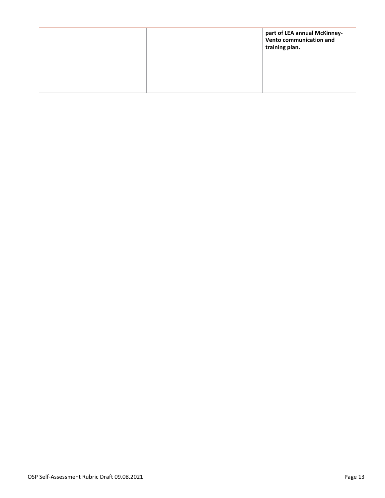|  | part of LEA annual McKinney-<br>Vento communication and<br>training plan. |
|--|---------------------------------------------------------------------------|
|  |                                                                           |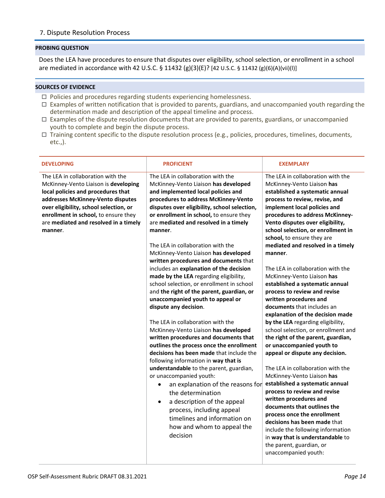## <span id="page-13-0"></span>7. Dispute Resolution Process

#### **PROBING QUESTION**

Does the LEA have procedures to ensure that disputes over eligibility, school selection, or enrollment in a school are mediated in accordance with 42 U.S.C. § 11432 (g)(3)(E)? [42 U.S.C. § 11432 (g)(6)(A)(vii)(l)]

- $\Box$  Policies and procedures regarding students experiencing homelessness.
- $\Box$  Examples of written notification that is provided to parents, guardians, and unaccompanied youth regarding the determination made and description of the appeal timeline and process.
- $\Box$  Examples of the dispute resolution documents that are provided to parents, guardians, or unaccompanied youth to complete and begin the dispute process.
- Training content specific to the dispute resolution process (e.g., policies, procedures, timelines, documents, etc.,).

| <b>DEVELOPING</b>                                                                                                                                                                                                                                                                          | <b>PROFICIENT</b>                                                                                                                                                                                                                                                                                                                                                                                                                                                                                                                                                                                                                                                                                                                                                                                                                                                                                                                                                                                                                                                                                                                                                                                                              | <b>EXEMPLARY</b>                                                                                                                                                                                                                                                                                                                                                                                                                                                                                                                                                                                                                                                                                                                                                                                                                                                                                                                                                                                                                                                                                                                                                               |
|--------------------------------------------------------------------------------------------------------------------------------------------------------------------------------------------------------------------------------------------------------------------------------------------|--------------------------------------------------------------------------------------------------------------------------------------------------------------------------------------------------------------------------------------------------------------------------------------------------------------------------------------------------------------------------------------------------------------------------------------------------------------------------------------------------------------------------------------------------------------------------------------------------------------------------------------------------------------------------------------------------------------------------------------------------------------------------------------------------------------------------------------------------------------------------------------------------------------------------------------------------------------------------------------------------------------------------------------------------------------------------------------------------------------------------------------------------------------------------------------------------------------------------------|--------------------------------------------------------------------------------------------------------------------------------------------------------------------------------------------------------------------------------------------------------------------------------------------------------------------------------------------------------------------------------------------------------------------------------------------------------------------------------------------------------------------------------------------------------------------------------------------------------------------------------------------------------------------------------------------------------------------------------------------------------------------------------------------------------------------------------------------------------------------------------------------------------------------------------------------------------------------------------------------------------------------------------------------------------------------------------------------------------------------------------------------------------------------------------|
| The LEA in collaboration with the<br>McKinney-Vento Liaison is developing<br>local policies and procedures that<br>addresses McKinney-Vento disputes<br>over eligibility, school selection, or<br>enrollment in school, to ensure they<br>are mediated and resolved in a timely<br>manner. | The LEA in collaboration with the<br>McKinney-Vento Liaison has developed<br>and implemented local policies and<br>procedures to address McKinney-Vento<br>disputes over eligibility, school selection,<br>or enrollment in school, to ensure they<br>are mediated and resolved in a timely<br>manner.<br>The LEA in collaboration with the<br>McKinney-Vento Liaison has developed<br>written procedures and documents that<br>includes an explanation of the decision<br>made by the LEA regarding eligibility,<br>school selection, or enrollment in school<br>and the right of the parent, guardian, or<br>unaccompanied youth to appeal or<br>dispute any decision.<br>The LEA in collaboration with the<br>McKinney-Vento Liaison has developed<br>written procedures and documents that<br>outlines the process once the enrollment<br>decisions has been made that include the<br>following information in way that is<br>understandable to the parent, guardian,<br>or unaccompanied youth:<br>an explanation of the reasons for<br>$\bullet$<br>the determination<br>a description of the appeal<br>$\bullet$<br>process, including appeal<br>timelines and information on<br>how and whom to appeal the<br>decision | The LEA in collaboration with the<br>McKinney-Vento Liaison has<br>established a systematic annual<br>process to review, revise, and<br>implement local policies and<br>procedures to address McKinney-<br>Vento disputes over eligibility,<br>school selection, or enrollment in<br>school, to ensure they are<br>mediated and resolved in a timely<br>manner.<br>The LEA in collaboration with the<br>McKinney-Vento Liaison has<br>established a systematic annual<br>process to review and revise<br>written procedures and<br>documents that includes an<br>explanation of the decision made<br>by the LEA regarding eligibility,<br>school selection, or enrollment and<br>the right of the parent, guardian,<br>or unaccompanied youth to<br>appeal or dispute any decision.<br>The LEA in collaboration with the<br>McKinney-Vento Liaison has<br>established a systematic annual<br>process to review and revise<br>written procedures and<br>documents that outlines the<br>process once the enrollment<br>decisions has been made that<br>include the following information<br>in way that is understandable to<br>the parent, guardian, or<br>unaccompanied youth: |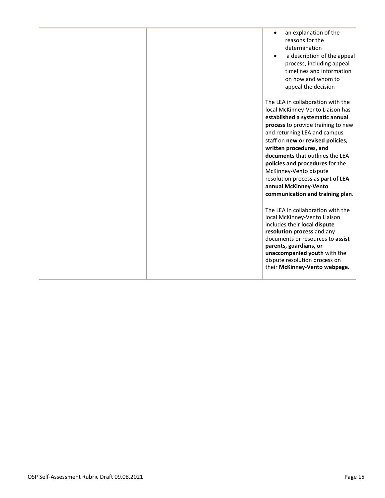- an explanation of the reasons for the determination
- a description of the appeal process, including appeal timelines and information on how and whom to appeal the decision

The LEA in collaboration with the local McKinney-Vento Liaison has **established a systematic annual process** to provide training to new and returning LEA and campus staff on **new or revised policies, written procedures, and documents** that outlines the LEA **policies and procedures** for the McKinney-Vento dispute resolution process as **part of LEA annual McKinney-Vento communication and training plan**.

The LEA in collaboration with the local McKinney-Vento Liaison includes their **local dispute resolution process** and any documents or resources to **assist parents, guardians, or unaccompanied youth** with the dispute resolution process on their **McKinney-Vento webpage.**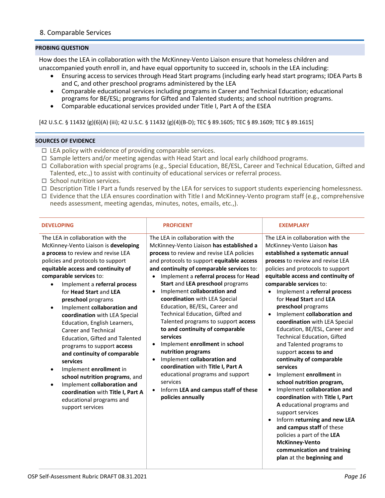## <span id="page-15-0"></span>8. Comparable Services

## **PROBING QUESTION**

How does the LEA in collaboration with the McKinney-Vento Liaison ensure that homeless children and unaccompanied youth enroll in, and have equal opportunity to succeed in, schools in the LEA including:

- Ensuring access to services through Head Start programs (including early head start programs; IDEA Parts B and C, and other preschool programs administered by the LEA
- Comparable educational services including programs in Career and Technical Education; educational programs for BE/ESL; programs for Gifted and Talented students; and school nutrition programs.
- Comparable educational services provided under Title I, Part A of the ESEA

[42 U.S.C. § 11432 (g)(6)(A) (iii); 42 U.S.C. § 11432 (g)(4)(B-D); TEC § 89.1605; TEC § 89.1609; TEC § 89.1615]

- $\Box$  LEA policy with evidence of providing comparable services.
- $\Box$  Sample letters and/or meeting agendas with Head Start and local early childhood programs.
- Collaboration with special programs (e.g., Special Education, BE/ESL, Career and Technical Education, Gifted and Talented, etc.,) to assist with continuity of educational services or referral process.
- $\Box$  School nutrition services.
- $\Box$  Description Title I Part a funds reserved by the LEA for services to support students experiencing homelessness.
- $\Box$  Evidence that the LEA ensures coordination with Title I and McKinney-Vento program staff (e.g., comprehensive needs assessment, meeting agendas, minutes, notes, emails, etc.,).

| <b>DEVELOPING</b>                                                                                                                                                                                                                                                                                                                                                                                                                                                                                                                                                                                                                                                                                                                                                                     | <b>PROFICIENT</b>                                                                                                                                                                                                                                                                                                                                                                                                                                                                                                                                                                                                                                                                                                                                                                                                                     | <b>EXEMPLARY</b>                                                                                                                                                                                                                                                                                                                                                                                                                                                                                                                                                                                                                                                                                                                                                                                                                                                                                                                                                                             |
|---------------------------------------------------------------------------------------------------------------------------------------------------------------------------------------------------------------------------------------------------------------------------------------------------------------------------------------------------------------------------------------------------------------------------------------------------------------------------------------------------------------------------------------------------------------------------------------------------------------------------------------------------------------------------------------------------------------------------------------------------------------------------------------|---------------------------------------------------------------------------------------------------------------------------------------------------------------------------------------------------------------------------------------------------------------------------------------------------------------------------------------------------------------------------------------------------------------------------------------------------------------------------------------------------------------------------------------------------------------------------------------------------------------------------------------------------------------------------------------------------------------------------------------------------------------------------------------------------------------------------------------|----------------------------------------------------------------------------------------------------------------------------------------------------------------------------------------------------------------------------------------------------------------------------------------------------------------------------------------------------------------------------------------------------------------------------------------------------------------------------------------------------------------------------------------------------------------------------------------------------------------------------------------------------------------------------------------------------------------------------------------------------------------------------------------------------------------------------------------------------------------------------------------------------------------------------------------------------------------------------------------------|
| The LEA in collaboration with the<br>McKinney-Vento Liaison is developing<br>a process to review and revise LEA<br>policies and protocols to support<br>equitable access and continuity of<br>comparable services to:<br>Implement a referral process<br>$\bullet$<br>for Head Start and LEA<br>preschool programs<br>Implement collaboration and<br>$\bullet$<br>coordination with LEA Special<br>Education, English Learners,<br><b>Career and Technical</b><br>Education, Gifted and Talented<br>programs to support access<br>and continuity of comparable<br>services<br>Implement enrollment in<br>$\bullet$<br>school nutrition programs, and<br>Implement collaboration and<br>$\bullet$<br>coordination with Title I, Part A<br>educational programs and<br>support services | The LEA in collaboration with the<br>McKinney-Vento Liaison has established a<br>process to review and revise LEA policies<br>and protocols to support equitable access<br>and continuity of comparable services to:<br>Implement a referral process for Head<br>$\bullet$<br>Start and LEA preschool programs<br>Implement collaboration and<br>$\bullet$<br>coordination with LEA Special<br>Education, BE/ESL, Career and<br>Technical Education, Gifted and<br>Talented programs to support access<br>to and continuity of comparable<br>services<br>Implement enrollment in school<br>$\bullet$<br>nutrition programs<br>Implement collaboration and<br>$\bullet$<br>coordination with Title I, Part A<br>educational programs and support<br>services<br>Inform LEA and campus staff of these<br>$\bullet$<br>policies annually | The LEA in collaboration with the<br>McKinney-Vento Liaison has<br>established a systematic annual<br>process to review and revise LEA<br>policies and protocols to support<br>equitable access and continuity of<br>comparable services to:<br>Implement a referral process<br>$\bullet$<br>for Head Start and LEA<br>preschool programs<br>Implement collaboration and<br>$\bullet$<br>coordination with LEA Special<br>Education, BE/ESL, Career and<br><b>Technical Education, Gifted</b><br>and Talented programs to<br>support access to and<br>continuity of comparable<br>services<br>Implement enrollment in<br>$\bullet$<br>school nutrition program,<br>Implement collaboration and<br>$\bullet$<br>coordination with Title I, Part<br>A educational programs and<br>support services<br>Inform returning and new LEA<br>$\bullet$<br>and campus staff of these<br>policies a part of the LEA<br><b>McKinney-Vento</b><br>communication and training<br>plan at the beginning and |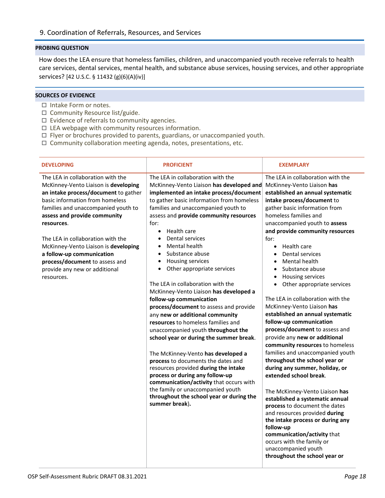<span id="page-17-0"></span>How does the LEA ensure that homeless families, children, and unaccompanied youth receive referrals to health care services, dental services, mental health, and substance abuse services, housing services, and other appropriate services? [42 U.S.C. § 11432 (g)(6)(A)(iv)]

- □ Intake Form or notes.
- $\square$  Community Resource list/guide.
- $\Box$  Evidence of referrals to community agencies.
- $\Box$  LEA webpage with community resources information.
- $\Box$  Flyer or brochures provided to parents, guardians, or unaccompanied youth.
- $\Box$  Community collaboration meeting agenda, notes, presentations, etc.

| <b>DEVELOPING</b>                                                                                                                                                                                                                                                                                                                                                                                                                    | <b>PROFICIENT</b>                                                                                                                                                                                                                                                                                                                                                                                                                                                                                                                                                                                                                                                                                                                                                                                                                                                                                                                                                                                                                                                                      | <b>EXEMPLARY</b>                                                                                                                                                                                                                                                                                                                                                                                                                                                                                                                                                                                                                                                                                                                                                                                                                                                                                                                                                                                                                                                                                                                                      |
|--------------------------------------------------------------------------------------------------------------------------------------------------------------------------------------------------------------------------------------------------------------------------------------------------------------------------------------------------------------------------------------------------------------------------------------|----------------------------------------------------------------------------------------------------------------------------------------------------------------------------------------------------------------------------------------------------------------------------------------------------------------------------------------------------------------------------------------------------------------------------------------------------------------------------------------------------------------------------------------------------------------------------------------------------------------------------------------------------------------------------------------------------------------------------------------------------------------------------------------------------------------------------------------------------------------------------------------------------------------------------------------------------------------------------------------------------------------------------------------------------------------------------------------|-------------------------------------------------------------------------------------------------------------------------------------------------------------------------------------------------------------------------------------------------------------------------------------------------------------------------------------------------------------------------------------------------------------------------------------------------------------------------------------------------------------------------------------------------------------------------------------------------------------------------------------------------------------------------------------------------------------------------------------------------------------------------------------------------------------------------------------------------------------------------------------------------------------------------------------------------------------------------------------------------------------------------------------------------------------------------------------------------------------------------------------------------------|
| The LEA in collaboration with the<br>McKinney-Vento Liaison is developing<br>an intake process/document to gather<br>basic information from homeless<br>families and unaccompanied youth to<br>assess and provide community<br>resources.<br>The LEA in collaboration with the<br>McKinney-Vento Liaison is developing<br>a follow-up communication<br>process/document to assess and<br>provide any new or additional<br>resources. | The LEA in collaboration with the<br>McKinney-Vento Liaison has developed and<br>implemented an intake process/document<br>to gather basic information from homeless<br>families and unaccompanied youth to<br>assess and provide community resources<br>for:<br>Health care<br>$\bullet$<br>Dental services<br>$\bullet$<br>Mental health<br>$\bullet$<br>Substance abuse<br>$\bullet$<br>Housing services<br>$\bullet$<br>Other appropriate services<br>$\bullet$<br>The LEA in collaboration with the<br>McKinney-Vento Liaison has developed a<br>follow-up communication<br>process/document to assess and provide<br>any new or additional community<br>resources to homeless families and<br>unaccompanied youth throughout the<br>school year or during the summer break.<br>The McKinney-Vento has developed a<br>process to documents the dates and<br>resources provided during the intake<br>process or during any follow-up<br>communication/activity that occurs with<br>the family or unaccompanied youth<br>throughout the school year or during the<br>summer break). | The LEA in collaboration with the<br>McKinney-Vento Liaison has<br>established an annual systematic<br>intake process/document to<br>gather basic information from<br>homeless families and<br>unaccompanied youth to assess<br>and provide community resources<br>for:<br>Health care<br>$\bullet$<br>Dental services<br>Mental health<br>$\bullet$<br>Substance abuse<br>$\bullet$<br>Housing services<br>$\bullet$<br>Other appropriate services<br>$\bullet$<br>The LEA in collaboration with the<br>McKinney-Vento Liaison has<br>established an annual systematic<br>follow-up communication<br>process/document to assess and<br>provide any new or additional<br>community resources to homeless<br>families and unaccompanied youth<br>throughout the school year or<br>during any summer, holiday, or<br>extended school break.<br>The McKinney-Vento Liaison has<br>established a systematic annual<br>process to document the dates<br>and resources provided during<br>the intake process or during any<br>follow-up<br>communication/activity that<br>occurs with the family or<br>unaccompanied youth<br>throughout the school year or |
|                                                                                                                                                                                                                                                                                                                                                                                                                                      |                                                                                                                                                                                                                                                                                                                                                                                                                                                                                                                                                                                                                                                                                                                                                                                                                                                                                                                                                                                                                                                                                        |                                                                                                                                                                                                                                                                                                                                                                                                                                                                                                                                                                                                                                                                                                                                                                                                                                                                                                                                                                                                                                                                                                                                                       |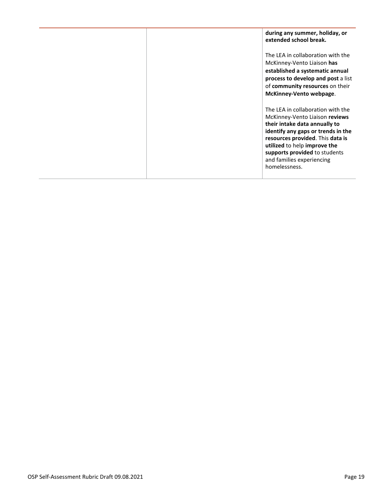|  | during any summer, holiday, or<br>extended school break.                                                                                                                                                                                                                                      |
|--|-----------------------------------------------------------------------------------------------------------------------------------------------------------------------------------------------------------------------------------------------------------------------------------------------|
|  | The LEA in collaboration with the<br>McKinney-Vento Liaison has<br>established a systematic annual<br>process to develop and post a list<br>of community resources on their<br>McKinney-Vento webpage.                                                                                        |
|  | The LEA in collaboration with the<br>McKinney-Vento Liaison reviews<br>their intake data annually to<br>identify any gaps or trends in the<br>resources provided. This data is<br>utilized to help improve the<br>supports provided to students<br>and families experiencing<br>homelessness. |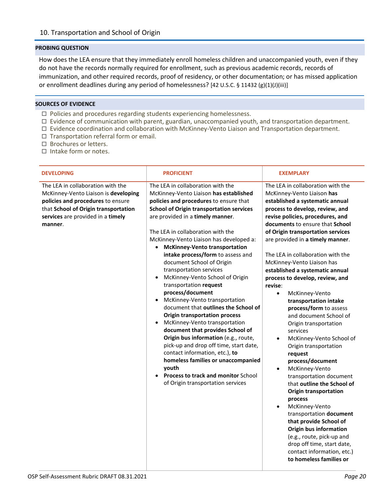<span id="page-19-0"></span>How does the LEA ensure that they immediately enroll homeless children and unaccompanied youth, even if they do not have the records normally required for enrollment, such as previous academic records, records of immunization, and other required records, proof of residency, or other documentation; or has missed application or enrollment deadlines during any period of homelessness? [42 U.S.C. § 11432 (g)(1)(J)(iii)]

- $\Box$  Policies and procedures regarding students experiencing homelessness.
- $\Box$  Evidence of communication with parent, guardian, unaccompanied youth, and transportation department.
- $\Box$  Evidence coordination and collaboration with McKinney-Vento Liaison and Transportation department.
- $\Box$  Transportation referral form or email.
- □ Brochures or letters.
- $\Box$  Intake form or notes.

| <b>DEVELOPING</b>                                                                                                                                                                                      | <b>PROFICIENT</b>                                                                                                                                                                                                                                                                                                                                                                                                                                                                                                                                                                                                                                                                                                                                                                                                                                                                                                                                        | <b>EXEMPLARY</b>                                                                                                                                                                                                                                                                                                                                                                                                                                                                                                                                                                                                                                                                                                                                                                                                                                                                                                                                                                                                                                                        |
|--------------------------------------------------------------------------------------------------------------------------------------------------------------------------------------------------------|----------------------------------------------------------------------------------------------------------------------------------------------------------------------------------------------------------------------------------------------------------------------------------------------------------------------------------------------------------------------------------------------------------------------------------------------------------------------------------------------------------------------------------------------------------------------------------------------------------------------------------------------------------------------------------------------------------------------------------------------------------------------------------------------------------------------------------------------------------------------------------------------------------------------------------------------------------|-------------------------------------------------------------------------------------------------------------------------------------------------------------------------------------------------------------------------------------------------------------------------------------------------------------------------------------------------------------------------------------------------------------------------------------------------------------------------------------------------------------------------------------------------------------------------------------------------------------------------------------------------------------------------------------------------------------------------------------------------------------------------------------------------------------------------------------------------------------------------------------------------------------------------------------------------------------------------------------------------------------------------------------------------------------------------|
| The LEA in collaboration with the<br>McKinney-Vento Liaison is developing<br>policies and procedures to ensure<br>that School of Origin transportation<br>services are provided in a timely<br>manner. | The LEA in collaboration with the<br>McKinney-Vento Liaison has established<br>policies and procedures to ensure that<br><b>School of Origin transportation services</b><br>are provided in a timely manner.<br>The LEA in collaboration with the<br>McKinney-Vento Liaison has developed a:<br>• McKinney-Vento transportation<br>intake process/form to assess and<br>document School of Origin<br>transportation services<br>McKinney-Vento School of Origin<br>transportation request<br>process/document<br>• McKinney-Vento transportation<br>document that outlines the School of<br><b>Origin transportation process</b><br>• McKinney-Vento transportation<br>document that provides School of<br>Origin bus information (e.g., route,<br>pick-up and drop off time, start date,<br>contact information, etc.), to<br>homeless families or unaccompanied<br>youth<br>• Process to track and monitor School<br>of Origin transportation services | The LEA in collaboration with the<br>McKinney-Vento Liaison has<br>established a systematic annual<br>process to develop, review, and<br>revise policies, procedures, and<br>documents to ensure that School<br>of Origin transportation services<br>are provided in a timely manner.<br>The LEA in collaboration with the<br>McKinney-Vento Liaison has<br>established a systematic annual<br>process to develop, review, and<br>revise:<br>McKinney-Vento<br>$\bullet$<br>transportation intake<br>process/form to assess<br>and document School of<br>Origin transportation<br>services<br>McKinney-Vento School of<br>$\bullet$<br>Origin transportation<br>request<br>process/document<br>McKinney-Vento<br>$\bullet$<br>transportation document<br>that outline the School of<br><b>Origin transportation</b><br>process<br>McKinney-Vento<br>$\bullet$<br>transportation document<br>that provide School of<br><b>Origin bus information</b><br>(e.g., route, pick-up and<br>drop off time, start date,<br>contact information, etc.)<br>to homeless families or |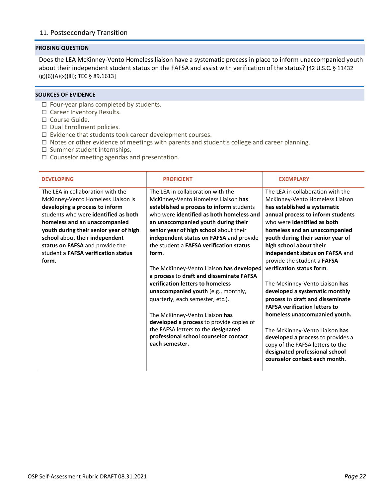<span id="page-21-0"></span>Does the LEA McKinney-Vento Homeless liaison have a systematic process in place to inform unaccompanied youth about their independent student status on the FAFSA and assist with verification of the status? [42 U.S.C. § 11432 (g)(6)(A)(x)(lll); TEC § 89.1613]

- $\Box$  Four-year plans completed by students.
- □ Career Inventory Results.
- □ Course Guide.
- Dual Enrollment policies.
- $\square$  Evidence that students took career development courses.
- $\Box$  Notes or other evidence of meetings with parents and student's college and career planning.
- $\square$  Summer student internships.
- $\Box$  Counselor meeting agendas and presentation.

| <b>DEVELOPING</b>                           | <b>PROFICIENT</b>                              | <b>EXEMPLARY</b>                     |
|---------------------------------------------|------------------------------------------------|--------------------------------------|
| The LEA in collaboration with the           | The LEA in collaboration with the              | The LEA in collaboration with the    |
| McKinney-Vento Homeless Liaison is          | McKinney-Vento Homeless Liaison has            | McKinney-Vento Homeless Liaison      |
| developing a process to inform              | established a process to inform students       | has established a systematic         |
| students who were <b>identified as both</b> | who were identified as both homeless and       | annual process to inform students    |
| homeless and an unaccompanied               | an unaccompanied youth during their            | who were identified as both          |
| youth during their senior year of high      | senior year of high school about their         | homeless and an unaccompanied        |
| school about their independent              | independent status on FAFSA and provide        | youth during their senior year of    |
| status on FAFSA and provide the             | the student a <b>FAFSA</b> verification status | high school about their              |
| student a <b>FAFSA</b> verification status  | form.                                          | independent status on FAFSA and      |
| form.                                       |                                                | provide the student a FAFSA          |
|                                             | The McKinney-Vento Liaison has developed       | verification status form.            |
|                                             | a process to draft and disseminate FAFSA       |                                      |
|                                             | verification letters to homeless               | The McKinney-Vento Liaison has       |
|                                             | unaccompanied youth (e.g., monthly,            | developed a systematic monthly       |
|                                             | quarterly, each semester, etc.).               | process to draft and disseminate     |
|                                             |                                                | <b>FAFSA verification letters to</b> |
|                                             | The McKinney-Vento Liaison has                 | homeless unaccompanied youth.        |
|                                             | developed a process to provide copies of       |                                      |
|                                             | the FAFSA letters to the designated            | The McKinney-Vento Liaison has       |
|                                             | professional school counselor contact          | developed a process to provides a    |
|                                             | each semester.                                 | copy of the FAFSA letters to the     |
|                                             |                                                | designated professional school       |
|                                             |                                                | counselor contact each month.        |
|                                             |                                                |                                      |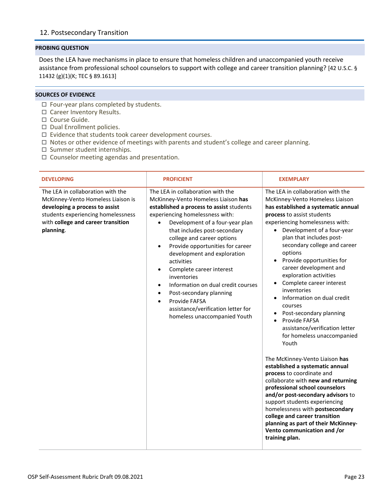<span id="page-22-0"></span>Does the LEA have mechanisms in place to ensure that homeless children and unaccompanied youth receive assistance from professional school counselors to support with college and career transition planning? [42 U.S.C. § 11432 (g)(1)(K; TEC § 89.1613]

- $\Box$  Four-year plans completed by students.
- □ Career Inventory Results.
- □ Course Guide.
- Dual Enrollment policies.
- $\square$  Evidence that students took career development courses.
- □ Notes or other evidence of meetings with parents and student's college and career planning.
- $\square$  Summer student internships.
- $\Box$  Counselor meeting agendas and presentation.

| <b>DEVELOPING</b>                                                                                                                                                                                  | <b>PROFICIENT</b>                                                                                                                                                                                                                                                                                                                                                                                                                                                                                                                                                                                                          | <b>EXEMPLARY</b>                                                                                                                                                                                                                                                                                                                                                                                                                                                                                                                                                                                                                                                                                                                                                                                                                                                                                                                                                                          |
|----------------------------------------------------------------------------------------------------------------------------------------------------------------------------------------------------|----------------------------------------------------------------------------------------------------------------------------------------------------------------------------------------------------------------------------------------------------------------------------------------------------------------------------------------------------------------------------------------------------------------------------------------------------------------------------------------------------------------------------------------------------------------------------------------------------------------------------|-------------------------------------------------------------------------------------------------------------------------------------------------------------------------------------------------------------------------------------------------------------------------------------------------------------------------------------------------------------------------------------------------------------------------------------------------------------------------------------------------------------------------------------------------------------------------------------------------------------------------------------------------------------------------------------------------------------------------------------------------------------------------------------------------------------------------------------------------------------------------------------------------------------------------------------------------------------------------------------------|
| The LEA in collaboration with the<br>McKinney-Vento Homeless Liaison is<br>developing a process to assist<br>students experiencing homelessness<br>with college and career transition<br>planning. | The LEA in collaboration with the<br>McKinney-Vento Homeless Liaison has<br>established a process to assist students<br>experiencing homelessness with:<br>Development of a four-year plan<br>$\bullet$<br>that includes post-secondary<br>college and career options<br>Provide opportunities for career<br>$\bullet$<br>development and exploration<br>activities<br>Complete career interest<br>$\bullet$<br>inventories<br>Information on dual credit courses<br>$\bullet$<br>Post-secondary planning<br>$\bullet$<br>Provide FAFSA<br>$\bullet$<br>assistance/verification letter for<br>homeless unaccompanied Youth | The LEA in collaboration with the<br>McKinney-Vento Homeless Liaison<br>has established a systematic annual<br>process to assist students<br>experiencing homelessness with:<br>• Development of a four-year<br>plan that includes post-<br>secondary college and career<br>options<br>Provide opportunities for<br>career development and<br>exploration activities<br>Complete career interest<br>inventories<br>Information on dual credit<br>courses<br>Post-secondary planning<br>Provide FAFSA<br>assistance/verification letter<br>for homeless unaccompanied<br>Youth<br>The McKinney-Vento Liaison has<br>established a systematic annual<br>process to coordinate and<br>collaborate with new and returning<br>professional school counselors<br>and/or post-secondary advisors to<br>support students experiencing<br>homelessness with postsecondary<br>college and career transition<br>planning as part of their McKinney-<br>Vento communication and /or<br>training plan. |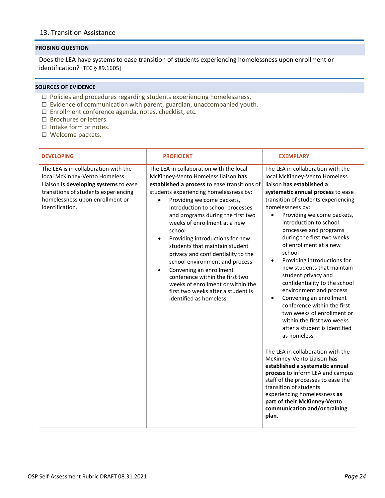## <span id="page-23-0"></span>13. Transition Assistance

#### **PROBING QUESTION**

Does the LEA have systems to ease transition of students experiencing homelessness upon enrollment or identification? [TEC § 89.1605]

- $\Box$  Policies and procedures regarding students experiencing homelessness.
- $\Box$  Evidence of communication with parent, guardian, unaccompanied youth.
- □ Enrollment conference agenda, notes, checklist, etc.
- $\Box$  Brochures or letters.
- □ Intake form or notes.
- □ Welcome packets.

| <b>DEVELOPING</b>                                                                                                                                                                                            | <b>PROFICIENT</b>                                                                                                                                                                                                                                                                                                                                                                                                                                                                                                                                                                                                                                                   | <b>EXEMPLARY</b>                                                                                                                                                                                                                                                                                                                                                                                                                                                                                                                                                                                                                                                                                                                                                                                                                                                                                                                                                                                                                     |
|--------------------------------------------------------------------------------------------------------------------------------------------------------------------------------------------------------------|---------------------------------------------------------------------------------------------------------------------------------------------------------------------------------------------------------------------------------------------------------------------------------------------------------------------------------------------------------------------------------------------------------------------------------------------------------------------------------------------------------------------------------------------------------------------------------------------------------------------------------------------------------------------|--------------------------------------------------------------------------------------------------------------------------------------------------------------------------------------------------------------------------------------------------------------------------------------------------------------------------------------------------------------------------------------------------------------------------------------------------------------------------------------------------------------------------------------------------------------------------------------------------------------------------------------------------------------------------------------------------------------------------------------------------------------------------------------------------------------------------------------------------------------------------------------------------------------------------------------------------------------------------------------------------------------------------------------|
| The LEA is in collaboration with the<br>local McKinney-Vento Homeless<br>Liaison is developing systems to ease<br>transitions of students experiencing<br>homelessness upon enrollment or<br>identification. | The LEA in collaboration with the local<br>McKinney-Vento Homeless liaison has<br>established a process to ease transitions of<br>students experiencing homelessness by:<br>Providing welcome packets,<br>$\bullet$<br>introduction to school processes<br>and programs during the first two<br>weeks of enrollment at a new<br>school<br>Providing introductions for new<br>students that maintain student<br>privacy and confidentiality to the<br>school environment and process<br>Convening an enrollment<br>$\bullet$<br>conference within the first two<br>weeks of enrollment or within the<br>first two weeks after a student is<br>identified as homeless | The LEA in collaboration with the<br>local McKinney-Vento Homeless<br>liaison has established a<br>systematic annual process to ease<br>transition of students experiencing<br>homelessness by:<br>Providing welcome packets,<br>$\bullet$<br>introduction to school<br>processes and programs<br>during the first two weeks<br>of enrollment at a new<br>school<br>Providing introductions for<br>$\bullet$<br>new students that maintain<br>student privacy and<br>confidentiality to the school<br>environment and process<br>Convening an enrollment<br>$\bullet$<br>conference within the first<br>two weeks of enrollment or<br>within the first two weeks<br>after a student is identified<br>as homeless<br>The LEA in collaboration with the<br>McKinney-Vento Liaison has<br>established a systematic annual<br>process to inform LEA and campus<br>staff of the processes to ease the<br>transition of students<br>experiencing homelessness as<br>part of their McKinney-Vento<br>communication and/or training<br>plan. |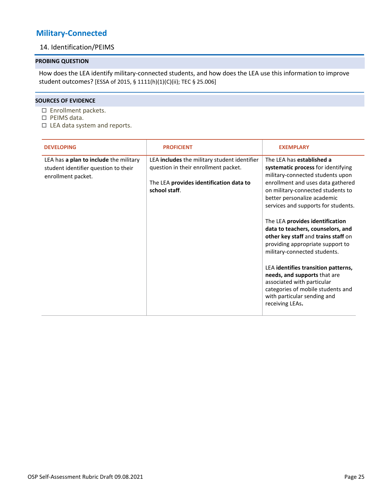## <span id="page-24-1"></span><span id="page-24-0"></span>**Military-Connected**

## 14. Identification/PEIMS

## **PROBING QUESTION**

How does the LEA identify military-connected students, and how does the LEA use this information to improve student outcomes? [ESSA of 2015, § 1111(h)(1)(C)(ii); TEC § 25.006]

- □ Enrollment packets.
- □ PEIMS data.
- $\Box$  LEA data system and reports.

| <b>DEVELOPING</b>                                                                                    | <b>PROFICIENT</b>                                                                                                                                       | <b>EXEMPLARY</b>                                                                                                                                                                                                                                                                                                                                                                                                                                                                                                                                                                                                                   |
|------------------------------------------------------------------------------------------------------|---------------------------------------------------------------------------------------------------------------------------------------------------------|------------------------------------------------------------------------------------------------------------------------------------------------------------------------------------------------------------------------------------------------------------------------------------------------------------------------------------------------------------------------------------------------------------------------------------------------------------------------------------------------------------------------------------------------------------------------------------------------------------------------------------|
| LEA has a plan to include the military<br>student identifier question to their<br>enrollment packet. | LEA <b>includes</b> the military student identifier<br>question in their enrollment packet.<br>The LEA provides identification data to<br>school staff. | The LEA has established a<br>systematic process for identifying<br>military-connected students upon<br>enrollment and uses data gathered<br>on military-connected students to<br>better personalize academic<br>services and supports for students.<br>The LEA provides identification<br>data to teachers, counselors, and<br>other key staff and trains staff on<br>providing appropriate support to<br>military-connected students.<br>LEA identifies transition patterns,<br>needs, and supports that are<br>associated with particular<br>categories of mobile students and<br>with particular sending and<br>receiving LEAs. |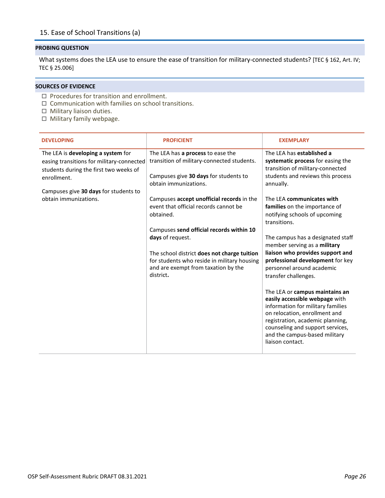<span id="page-25-0"></span>What systems does the LEA use to ensure the ease of transition for military-connected students? [TEC § 162, Art. IV; TEC § 25.006]

- $\Box$  Procedures for transition and enrollment.
- $\Box$  Communication with families on school transitions.
- $\Box$  Military liaison duties.
- $\Box$  Military family webpage.

| <b>DEVELOPING</b>                                                                                                                                                                 | <b>PROFICIENT</b>                                                                                                                                                                                                                                                                                                 | <b>EXEMPLARY</b>                                                                                                                                                                                                                                                                                                                                                                                                                                                                                                                                                                     |
|-----------------------------------------------------------------------------------------------------------------------------------------------------------------------------------|-------------------------------------------------------------------------------------------------------------------------------------------------------------------------------------------------------------------------------------------------------------------------------------------------------------------|--------------------------------------------------------------------------------------------------------------------------------------------------------------------------------------------------------------------------------------------------------------------------------------------------------------------------------------------------------------------------------------------------------------------------------------------------------------------------------------------------------------------------------------------------------------------------------------|
| The LEA is developing a system for<br>easing transitions for military-connected<br>students during the first two weeks of<br>enrollment.<br>Campuses give 30 days for students to | The LEA has a process to ease the<br>transition of military-connected students.<br>Campuses give 30 days for students to<br>obtain immunizations.                                                                                                                                                                 | The LEA has established a<br>systematic process for easing the<br>transition of military-connected<br>students and reviews this process<br>annually.                                                                                                                                                                                                                                                                                                                                                                                                                                 |
| obtain immunizations.                                                                                                                                                             | Campuses accept unofficial records in the<br>event that official records cannot be<br>obtained.<br>Campuses send official records within 10<br>days of request.<br>The school district does not charge tuition<br>for students who reside in military housing<br>and are exempt from taxation by the<br>district. | The LEA communicates with<br>families on the importance of<br>notifying schools of upcoming<br>transitions.<br>The campus has a designated staff<br>member serving as a military<br>liaison who provides support and<br>professional development for key<br>personnel around academic<br>transfer challenges.<br>The LEA or campus maintains an<br>easily accessible webpage with<br>information for military families<br>on relocation, enrollment and<br>registration, academic planning,<br>counseling and support services,<br>and the campus-based military<br>liaison contact. |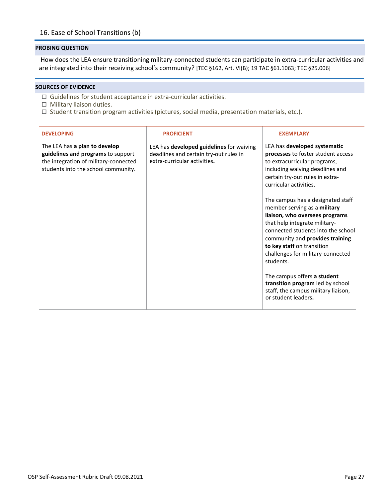<span id="page-26-0"></span>How does the LEA ensure transitioning military-connected students can participate in extra-curricular activities and are integrated into their receiving school's community? [TEC §162, Art. VI(B); 19 TAC §61.1063; TEC §25.006]

- $\Box$  Guidelines for student acceptance in extra-curricular activities.
- $\Box$  Military liaison duties.
- $\Box$  Student transition program activities (pictures, social media, presentation materials, etc.).

| <b>DEVELOPING</b>                                                                                                                                   | <b>PROFICIENT</b>                                                                                                  | <b>EXEMPLARY</b>                                                                                                                                                                                                                                                                                                                                                                                                                                                                                                                                                                                                                     |
|-----------------------------------------------------------------------------------------------------------------------------------------------------|--------------------------------------------------------------------------------------------------------------------|--------------------------------------------------------------------------------------------------------------------------------------------------------------------------------------------------------------------------------------------------------------------------------------------------------------------------------------------------------------------------------------------------------------------------------------------------------------------------------------------------------------------------------------------------------------------------------------------------------------------------------------|
| The LEA has a plan to develop<br>guidelines and programs to support<br>the integration of military-connected<br>students into the school community. | LEA has developed guidelines for waiving<br>deadlines and certain try-out rules in<br>extra-curricular activities. | LEA has developed systematic<br>processes to foster student access<br>to extracurricular programs,<br>including waiving deadlines and<br>certain try-out rules in extra-<br>curricular activities.<br>The campus has a designated staff<br>member serving as a military<br>liaison, who oversees programs<br>that help integrate military-<br>connected students into the school<br>community and provides training<br>to key staff on transition<br>challenges for military-connected<br>students.<br>The campus offers a student<br>transition program led by school<br>staff, the campus military liaison,<br>or student leaders. |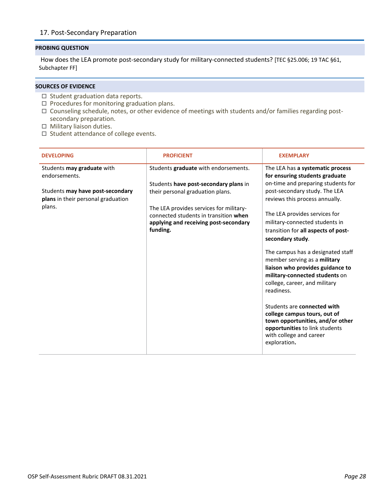## <span id="page-27-0"></span>17. Post-Secondary Preparation

## **PROBING QUESTION**

How does the LEA promote post-secondary study for military-connected students? [TEC §25.006; 19 TAC §61, Subchapter FF]

- $\Box$  Student graduation data reports.
- $\square$  Procedures for monitoring graduation plans.
- $\Box$  Counseling schedule, notes, or other evidence of meetings with students and/or families regarding postsecondary preparation.
- $\Box$  Military liaison duties.
- $\square$  Student attendance of college events.

| <b>DEVELOPING</b>                                                      | <b>PROFICIENT</b>                                                                                                                     | <b>EXEMPLARY</b>                                                                                                                                                                       |
|------------------------------------------------------------------------|---------------------------------------------------------------------------------------------------------------------------------------|----------------------------------------------------------------------------------------------------------------------------------------------------------------------------------------|
| Students may graduate with<br>endorsements.                            | Students graduate with endorsements.                                                                                                  | The LEA has a systematic process<br>for ensuring students graduate                                                                                                                     |
| Students may have post-secondary<br>plans in their personal graduation | Students have post-secondary plans in<br>their personal graduation plans.                                                             | on-time and preparing students for<br>post-secondary study. The LEA<br>reviews this process annually.                                                                                  |
| plans.                                                                 | The LEA provides services for military-<br>connected students in transition when<br>applying and receiving post-secondary<br>funding. | The LEA provides services for<br>military-connected students in<br>transition for all aspects of post-<br>secondary study.                                                             |
|                                                                        |                                                                                                                                       | The campus has a designated staff<br>member serving as a military<br>liaison who provides guidance to<br>military-connected students on<br>college, career, and military<br>readiness. |
|                                                                        |                                                                                                                                       | Students are connected with<br>college campus tours, out of<br>town opportunities, and/or other<br>opportunities to link students<br>with college and career<br>exploration.           |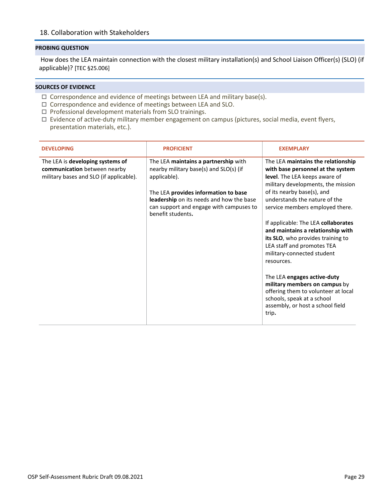<span id="page-28-0"></span>How does the LEA maintain connection with the closest military installation(s) and School Liaison Officer(s) (SLO) (if applicable)? [TEC §25.006]

- $\Box$  Correspondence and evidence of meetings between LEA and military base(s).
- Correspondence and evidence of meetings between LEA and SLO.
- $\Box$  Professional development materials from SLO trainings.
- □ Evidence of active-duty military member engagement on campus (pictures, social media, event flyers, presentation materials, etc.).

| <b>DEVELOPING</b>                                                                                           | <b>PROFICIENT</b>                                                                                                                                                                                                                                  | <b>EXEMPLARY</b>                                                                                                                                                                                                                                                                                                                                                                                                                                                                                                                                                                                                              |
|-------------------------------------------------------------------------------------------------------------|----------------------------------------------------------------------------------------------------------------------------------------------------------------------------------------------------------------------------------------------------|-------------------------------------------------------------------------------------------------------------------------------------------------------------------------------------------------------------------------------------------------------------------------------------------------------------------------------------------------------------------------------------------------------------------------------------------------------------------------------------------------------------------------------------------------------------------------------------------------------------------------------|
| The LEA is developing systems of<br>communication between nearby<br>military bases and SLO (if applicable). | The LEA maintains a partnership with<br>nearby military base(s) and SLO(s) (if<br>applicable).<br>The LEA provides information to base<br>leadership on its needs and how the base<br>can support and engage with campuses to<br>benefit students. | The LEA maintains the relationship<br>with base personnel at the system<br>level. The LEA keeps aware of<br>military developments, the mission<br>of its nearby base(s), and<br>understands the nature of the<br>service members employed there.<br>If applicable: The LEA collaborates<br>and maintains a relationship with<br>its SLO, who provides training to<br>LEA staff and promotes TEA<br>military-connected student<br>resources.<br>The LEA engages active-duty<br>military members on campus by<br>offering them to volunteer at local<br>schools, speak at a school<br>assembly, or host a school field<br>trip. |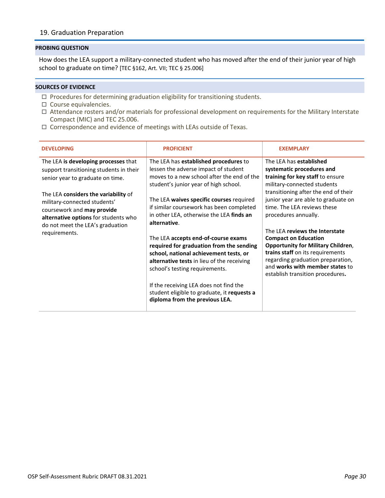## <span id="page-29-0"></span>19. Graduation Preparation

#### **PROBING QUESTION**

How does the LEA support a military-connected student who has moved after the end of their junior year of high school to graduate on time? [TEC §162, Art. VII; TEC § 25.006]

- $\Box$  Procedures for determining graduation eligibility for transitioning students.
- $\square$  Course equivalencies.
- Attendance rosters and/or materials for professional development on requirements for the Military Interstate Compact (MIC) and TEC 25.006.
- $\Box$  Correspondence and evidence of meetings with LEAs outside of Texas.

| <b>DEVELOPING</b>                                                                                                                                                                                                                                                        | <b>PROFICIENT</b>                                                                                                                                                                                                                                                                                                                    | <b>EXEMPLARY</b>                                                                                                                                                                                                                                              |
|--------------------------------------------------------------------------------------------------------------------------------------------------------------------------------------------------------------------------------------------------------------------------|--------------------------------------------------------------------------------------------------------------------------------------------------------------------------------------------------------------------------------------------------------------------------------------------------------------------------------------|---------------------------------------------------------------------------------------------------------------------------------------------------------------------------------------------------------------------------------------------------------------|
| The LEA is developing processes that<br>support transitioning students in their<br>senior year to graduate on time.<br>The LEA <b>considers the variability</b> of<br>military-connected students'<br>coursework and may provide<br>alternative options for students who | The LEA has established procedures to<br>lessen the adverse impact of student<br>moves to a new school after the end of the<br>student's junior year of high school.<br>The LEA waives specific courses required<br>if similar coursework has been completed<br>in other LEA, otherwise the LEA finds an<br>alternative.             | The LEA has established<br>systematic procedures and<br>training for key staff to ensure<br>military-connected students<br>transitioning after the end of their<br>junior year are able to graduate on<br>time. The LEA reviews these<br>procedures annually. |
| do not meet the LEA's graduation<br>requirements.                                                                                                                                                                                                                        | The LEA accepts end-of-course exams<br>required for graduation from the sending<br>school, national achievement tests, or<br>alternative tests in lieu of the receiving<br>school's testing requirements.<br>If the receiving LEA does not find the<br>student eligible to graduate, it requests a<br>diploma from the previous LEA. | The LEA reviews the Interstate<br><b>Compact on Education</b><br><b>Opportunity for Military Children,</b><br>trains staff on its requirements<br>regarding graduation preparation,<br>and works with member states to<br>establish transition procedures.    |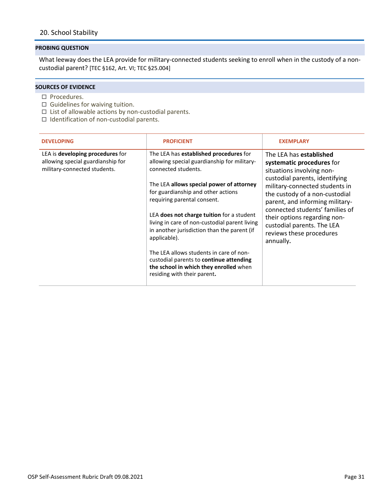<span id="page-30-0"></span>What leeway does the LEA provide for military-connected students seeking to enroll when in the custody of a noncustodial parent? [TEC §162, Art. VI; TEC §25.004]

- $\square$  Procedures.
- $\Box$  Guidelines for waiving tuition.
- $\Box$  List of allowable actions by non-custodial parents.
- $\Box$  Identification of non-custodial parents.

| <b>DEVELOPING</b>                                                                                            | <b>PROFICIENT</b>                                                                                                                                                                                                                                                                                                                                                                                                                                                                                                                                                | <b>EXEMPLARY</b>                                                                                                                                                                                                                                                                                                                                                            |
|--------------------------------------------------------------------------------------------------------------|------------------------------------------------------------------------------------------------------------------------------------------------------------------------------------------------------------------------------------------------------------------------------------------------------------------------------------------------------------------------------------------------------------------------------------------------------------------------------------------------------------------------------------------------------------------|-----------------------------------------------------------------------------------------------------------------------------------------------------------------------------------------------------------------------------------------------------------------------------------------------------------------------------------------------------------------------------|
| LEA is <b>developing procedures</b> for<br>allowing special guardianship for<br>military-connected students. | The LEA has established procedures for<br>allowing special guardianship for military-<br>connected students.<br>The LEA allows special power of attorney<br>for guardianship and other actions<br>requiring parental consent.<br>LEA does not charge tuition for a student<br>living in care of non-custodial parent living<br>in another jurisdiction than the parent (if<br>applicable).<br>The LEA allows students in care of non-<br>custodial parents to <b>continue attending</b><br>the school in which they enrolled when<br>residing with their parent. | The LEA has <b>established</b><br>systematic procedures for<br>situations involving non-<br>custodial parents, identifying<br>military-connected students in<br>the custody of a non-custodial<br>parent, and informing military-<br>connected students' families of<br>their options regarding non-<br>custodial parents. The LEA<br>reviews these procedures<br>annually. |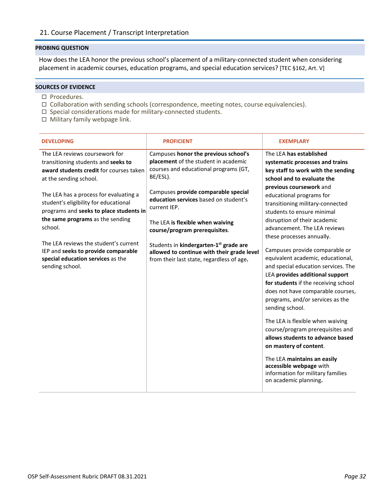<span id="page-31-0"></span>How does the LEA honor the previous school's placement of a military-connected student when considering placement in academic courses, education programs, and special education services? [TEC §162, Art. V]

- $\square$  Procedures.
- $\Box$  Collaboration with sending schools (correspondence, meeting notes, course equivalencies).
- $\square$  Special considerations made for military-connected students.
- □ Military family webpage link.

| <b>DEVELOPING</b>                                                                                                                                                         | <b>PROFICIENT</b>                                                                                                                                                 | <b>EXEMPLARY</b>                                                                                                                                                                                                                                                                                                                                                                                                                                                                                                                                                             |
|---------------------------------------------------------------------------------------------------------------------------------------------------------------------------|-------------------------------------------------------------------------------------------------------------------------------------------------------------------|------------------------------------------------------------------------------------------------------------------------------------------------------------------------------------------------------------------------------------------------------------------------------------------------------------------------------------------------------------------------------------------------------------------------------------------------------------------------------------------------------------------------------------------------------------------------------|
| The LEA reviews coursework for<br>transitioning students and seeks to<br>award students credit for courses taken<br>at the sending school.                                | Campuses honor the previous school's<br>placement of the student in academic<br>courses and educational programs (GT,<br>BE/ESL).                                 | The LEA has established<br>systematic processes and trains<br>key staff to work with the sending<br>school and to evaluate the                                                                                                                                                                                                                                                                                                                                                                                                                                               |
| The LEA has a process for evaluating a<br>student's eligibility for educational<br>programs and seeks to place students in<br>the same programs as the sending<br>school. | Campuses provide comparable special<br>education services based on student's<br>current IEP.<br>The LEA is flexible when waiving<br>course/program prerequisites. | previous coursework and<br>educational programs for<br>transitioning military-connected<br>students to ensure minimal<br>disruption of their academic<br>advancement. The LEA reviews                                                                                                                                                                                                                                                                                                                                                                                        |
| The LEA reviews the student's current<br>IEP and seeks to provide comparable<br>special education services as the<br>sending school.                                      | Students in kindergarten-1 <sup>st</sup> grade are<br>allowed to continue with their grade level<br>from their last state, regardless of age.                     | these processes annually.<br>Campuses provide comparable or<br>equivalent academic, educational,<br>and special education services. The<br>LEA provides additional support<br>for students if the receiving school<br>does not have comparable courses,<br>programs, and/or services as the<br>sending school.<br>The LEA is flexible when waiving<br>course/program prerequisites and<br>allows students to advance based<br>on mastery of content.<br>The LEA maintains an easily<br>accessible webpage with<br>information for military families<br>on academic planning. |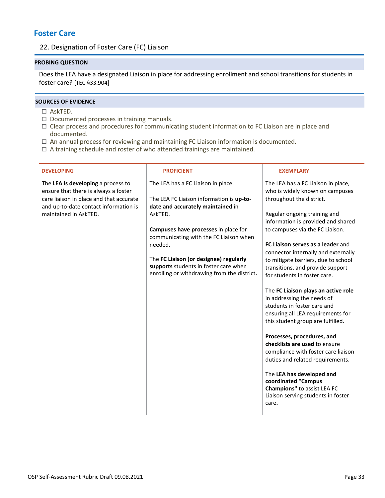## <span id="page-32-1"></span><span id="page-32-0"></span>**Foster Care**

## 22. Designation of Foster Care (FC) Liaison

## **PROBING QUESTION**

Does the LEA have a designated Liaison in place for addressing enrollment and school transitions for students in foster care? [TEC §33.904]

- AskTED.
- $\Box$  Documented processes in training manuals.
- Clear process and procedures for communicating student information to FC Liaison are in place and documented.
- $\Box$  An annual process for reviewing and maintaining FC Liaison information is documented.
- $\Box$  A training schedule and roster of who attended trainings are maintained.

| <b>DEVELOPING</b>                                                                                                                                                                       | <b>PROFICIENT</b>                                                                                                                                                                                                                                                                                                                                             | <b>EXEMPLARY</b>                                                                                                                                                                                                                                                                                                                                                                                                                                                                                                                                                                                                                                                                                                                                                                                                                                            |
|-----------------------------------------------------------------------------------------------------------------------------------------------------------------------------------------|---------------------------------------------------------------------------------------------------------------------------------------------------------------------------------------------------------------------------------------------------------------------------------------------------------------------------------------------------------------|-------------------------------------------------------------------------------------------------------------------------------------------------------------------------------------------------------------------------------------------------------------------------------------------------------------------------------------------------------------------------------------------------------------------------------------------------------------------------------------------------------------------------------------------------------------------------------------------------------------------------------------------------------------------------------------------------------------------------------------------------------------------------------------------------------------------------------------------------------------|
| The LEA is developing a process to<br>ensure that there is always a foster<br>care liaison in place and that accurate<br>and up-to-date contact information is<br>maintained in AskTED. | The LEA has a FC Liaison in place.<br>The LEA FC Liaison information is up-to-<br>date and accurately maintained in<br>AskTED.<br>Campuses have processes in place for<br>communicating with the FC Liaison when<br>needed.<br>The FC Liaison (or designee) regularly<br>supports students in foster care when<br>enrolling or withdrawing from the district. | The LEA has a FC Liaison in place,<br>who is widely known on campuses<br>throughout the district.<br>Regular ongoing training and<br>information is provided and shared<br>to campuses via the FC Liaison.<br>FC Liaison serves as a leader and<br>connector internally and externally<br>to mitigate barriers, due to school<br>transitions, and provide support<br>for students in foster care.<br>The FC Liaison plays an active role<br>in addressing the needs of<br>students in foster care and<br>ensuring all LEA requirements for<br>this student group are fulfilled.<br>Processes, procedures, and<br>checklists are used to ensure<br>compliance with foster care liaison<br>duties and related requirements.<br>The LEA has developed and<br>coordinated "Campus<br>Champions" to assist LEA FC<br>Liaison serving students in foster<br>care. |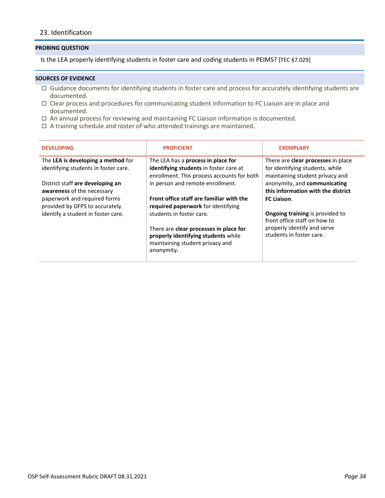## <span id="page-33-0"></span>23. Identification

#### **PROBING QUESTION**

Is the LEA properly identifying students in foster care and coding students in PEIMS? [TEC §7.029]

- Guidance documents for identifying students in foster care and process for accurately identifying students are documented.
- Clear process and procedures for communicating student information to FC Liaison are in place and documented.
- $\Box$  An annual process for reviewing and maintaining FC Liaison information is documented.
- $\Box$  A training schedule and roster of who attended trainings are maintained.

| <b>PROFICIENT</b>                                                                    | <b>EXEMPLARY</b>                                                                                                                                             |
|--------------------------------------------------------------------------------------|--------------------------------------------------------------------------------------------------------------------------------------------------------------|
| The LEA has a process in place for<br>identifying students in foster care at         | There are <b>clear processes</b> in place<br>for identifying students, while<br>maintaining student privacy and                                              |
| in person and remote enrollment.                                                     | anonymity, and communicating<br>this information with the district                                                                                           |
| required paperwork for identifying                                                   | FC Liaison.                                                                                                                                                  |
|                                                                                      | <b>Ongoing training is provided to</b><br>front office staff on how to                                                                                       |
| properly identifying students while<br>maintaining student privacy and<br>anonymity. | properly identify and serve<br>students in foster care.                                                                                                      |
|                                                                                      | enrollment. This process accounts for both<br>Front office staff are familiar with the<br>students in foster care.<br>There are clear processes in place for |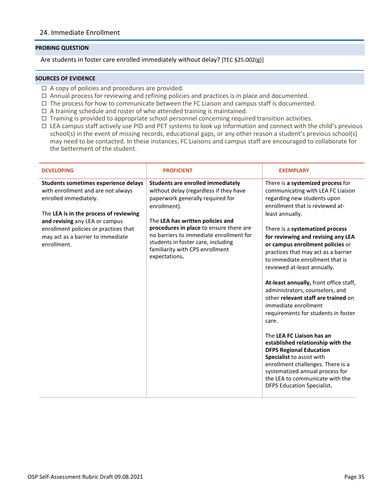## <span id="page-34-0"></span>24. Immediate Enrollment

#### **PROBING QUESTION**

Are students in foster care enrolled immediately without delay? [TEC §25.002(g)]

- $\Box$  A copy of policies and procedures are provided.
- □ Annual process for reviewing and refining policies and practices is in place and documented.
- $\Box$  The process for how to communicate between the FC Liaison and campus staff is documented.
- $\Box$  A training schedule and roster of who attended training is maintained.
- □ Training is provided to appropriate school personnel concerning required transition activities.
- $\Box$  LEA campus staff actively use PID and PET systems to look up information and connect with the child's previous school(s) in the event of missing records, educational gaps, or any other reason a student's previous school(s) may need to be contacted. In these instances, FC Liaisons and campus staff are encouraged to collaborate for the betterment of the student.

| <b>DEVELOPING</b>                                                                                                                                                                                                                                                            | <b>PROFICIENT</b>                                                                                                                                                                                                                                                                                                                                          | <b>EXEMPLARY</b>                                                                                                                                                                                                                                                                                                                                                                                                                                                                                                                                                                                                                                                                                                                                                                                                                                               |
|------------------------------------------------------------------------------------------------------------------------------------------------------------------------------------------------------------------------------------------------------------------------------|------------------------------------------------------------------------------------------------------------------------------------------------------------------------------------------------------------------------------------------------------------------------------------------------------------------------------------------------------------|----------------------------------------------------------------------------------------------------------------------------------------------------------------------------------------------------------------------------------------------------------------------------------------------------------------------------------------------------------------------------------------------------------------------------------------------------------------------------------------------------------------------------------------------------------------------------------------------------------------------------------------------------------------------------------------------------------------------------------------------------------------------------------------------------------------------------------------------------------------|
| Students sometimes experience delays<br>with enrollment and are not always<br>enrolled immediately.<br>The LEA is in the process of reviewing<br>and revising any LEA or campus<br>enrollment policies or practices that<br>may act as a barrier to immediate<br>enrollment. | <b>Students are enrolled immediately</b><br>without delay (regardless if they have<br>paperwork generally required for<br>enrollment).<br>The LEA has written policies and<br>procedures in place to ensure there are<br>no barriers to immediate enrollment for<br>students in foster care, including<br>familiarity with CPS enrollment<br>expectations. | There is a systemized process for<br>communicating with LEA FC Liaison<br>regarding new students upon<br>enrollment that is reviewed at-<br>least annually.<br>There is a systematized process<br>for reviewing and revising any LEA<br>or campus enrollment policies or<br>practices that may act as a barrier<br>to immediate enrollment that is<br>reviewed at-least annually.<br>At-least annually, front office staff,<br>administrators, counselors, and<br>other relevant staff are trained on<br>immediate enrollment<br>requirements for students in foster<br>care.<br>The LEA FC Liaison has an<br>established relationship with the<br><b>DFPS Regional Education</b><br>Specialist to assist with<br>enrollment challenges. There is a<br>systematized annual process for<br>the LEA to communicate with the<br><b>DFPS Education Specialist.</b> |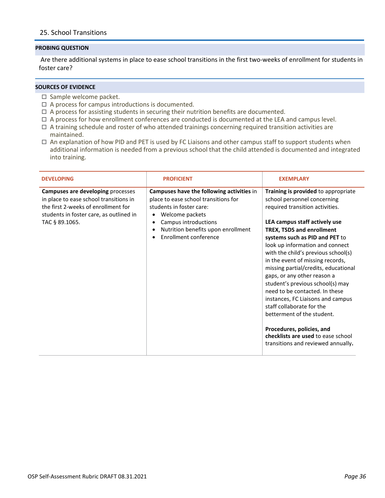## <span id="page-35-0"></span>25. School Transitions

#### **PROBING QUESTION**

Are there additional systems in place to ease school transitions in the first two-weeks of enrollment for students in foster care?

- $\square$  Sample welcome packet.
- $\Box$  A process for campus introductions is documented.
- $\Box$  A process for assisting students in securing their nutrition benefits are documented.
- $\Box$  A process for how enrollment conferences are conducted is documented at the LEA and campus level.
- $\Box$  A training schedule and roster of who attended trainings concerning required transition activities are maintained.
- $\Box$  An explanation of how PID and PET is used by FC Liaisons and other campus staff to support students when additional information is needed from a previous school that the child attended is documented and integrated into training.

| <b>DEVELOPING</b>                                                                                                                                                               | <b>PROFICIENT</b>                                                                                                                                                                                                                                           | <b>EXEMPLARY</b>                                                                                                                                                                                                                                                                                                                                                                                                                                                                                                                                                                                                                                                                 |
|---------------------------------------------------------------------------------------------------------------------------------------------------------------------------------|-------------------------------------------------------------------------------------------------------------------------------------------------------------------------------------------------------------------------------------------------------------|----------------------------------------------------------------------------------------------------------------------------------------------------------------------------------------------------------------------------------------------------------------------------------------------------------------------------------------------------------------------------------------------------------------------------------------------------------------------------------------------------------------------------------------------------------------------------------------------------------------------------------------------------------------------------------|
| Campuses are developing processes<br>in place to ease school transitions in<br>the first 2-weeks of enrollment for<br>students in foster care, as outlined in<br>TAC § 89.1065. | Campuses have the following activities in<br>place to ease school transitions for<br>students in foster care:<br>Welcome packets<br>٠<br>Campus introductions<br>$\bullet$<br>Nutrition benefits upon enrollment<br>٠<br>Enrollment conference<br>$\bullet$ | Training is provided to appropriate<br>school personnel concerning<br>required transition activities.<br>LEA campus staff actively use<br><b>TREX, TSDS and enrollment</b><br>systems such as PID and PET to<br>look up information and connect<br>with the child's previous school(s)<br>in the event of missing records,<br>missing partial/credits, educational<br>gaps, or any other reason a<br>student's previous school(s) may<br>need to be contacted. In these<br>instances, FC Liaisons and campus<br>staff collaborate for the<br>betterment of the student.<br>Procedures, policies, and<br>checklists are used to ease school<br>transitions and reviewed annually. |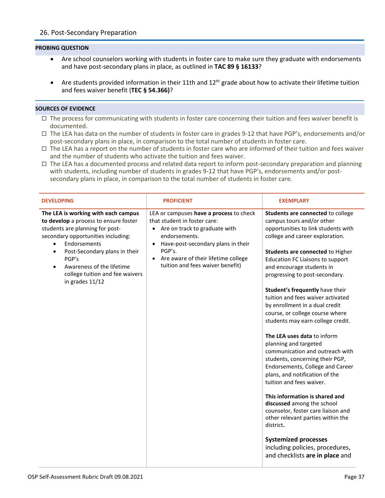- <span id="page-36-0"></span>• Are school counselors working with students in foster care to make sure they graduate with endorsements and have post-secondary plans in place, as outlined in **TAC 89 § 16133**?
- Are students provided information in their 11th and  $12<sup>th</sup>$  grade about how to activate their lifetime tuition and fees waiver benefit (**TEC § 54.366)**?

- $\Box$  The process for communicating with students in foster care concerning their tuition and fees waiver benefit is documented.
- $\Box$  The LEA has data on the number of students in foster care in grades 9-12 that have PGP's, endorsements and/or post-secondary plans in place, in comparison to the total number of students in foster care.
- $\Box$  The LEA has a report on the number of students in foster care who are informed of their tuition and fees waiver and the number of students who activate the tuition and fees waiver.
- $\Box$  The LEA has a documented process and related data report to inform post-secondary preparation and planning with students, including number of students in grades 9-12 that have PGP's, endorsements and/or postsecondary plans in place, in comparison to the total number of students in foster care.

| <b>DEVELOPING</b>                                                                                                                                                                                                                                                                                               | <b>PROFICIENT</b>                                                                                                                                                                                                                                                     | <b>EXEMPLARY</b>                                                                                                                                                                                                                                                                                                                                                                                                                                                                                                                                                                                                                                                                                                                                                                                                                                                                                                                                                      |
|-----------------------------------------------------------------------------------------------------------------------------------------------------------------------------------------------------------------------------------------------------------------------------------------------------------------|-----------------------------------------------------------------------------------------------------------------------------------------------------------------------------------------------------------------------------------------------------------------------|-----------------------------------------------------------------------------------------------------------------------------------------------------------------------------------------------------------------------------------------------------------------------------------------------------------------------------------------------------------------------------------------------------------------------------------------------------------------------------------------------------------------------------------------------------------------------------------------------------------------------------------------------------------------------------------------------------------------------------------------------------------------------------------------------------------------------------------------------------------------------------------------------------------------------------------------------------------------------|
| The LEA is working with each campus<br>to develop a process to ensure foster<br>students are planning for post-<br>secondary opportunities including:<br>Endorsements<br>Post-Secondary plans in their<br>$\bullet$<br>PGP's<br>Awareness of the lifetime<br>college tuition and fee waivers<br>in grades 11/12 | LEA or campuses have a process to check<br>that student in foster care:<br>• Are on track to graduate with<br>endorsements.<br>Have-post-secondary plans in their<br>$\bullet$<br>PGP's.<br>• Are aware of their lifetime college<br>tuition and fees waiver benefit) | Students are connected to college<br>campus tours and/or other<br>opportunities to link students with<br>college and career exploration.<br>Students are connected to Higher<br><b>Education FC Liaisons to support</b><br>and encourage students in<br>progressing to post-secondary.<br>Student's frequently have their<br>tuition and fees waiver activated<br>by enrollment in a dual credit<br>course, or college course where<br>students may earn college credit.<br>The LEA uses data to inform<br>planning and targeted<br>communication and outreach with<br>students, concerning their PGP,<br>Endorsements, College and Career<br>plans, and notification of the<br>tuition and fees waiver.<br>This information is shared and<br>discussed among the school<br>counselor, foster care liaison and<br>other relevant parties within the<br>district.<br><b>Systemized processes</b><br>including policies, procedures,<br>and checklists are in place and |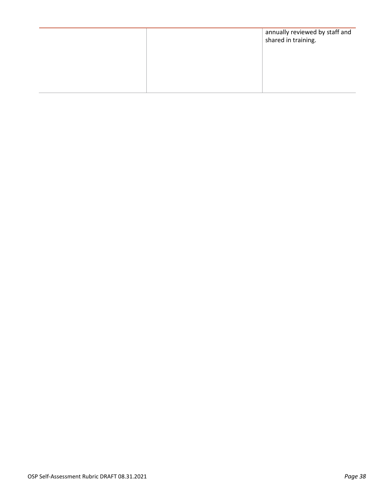|  | annually reviewed by staff and<br>shared in training. |
|--|-------------------------------------------------------|
|  |                                                       |
|  |                                                       |
|  |                                                       |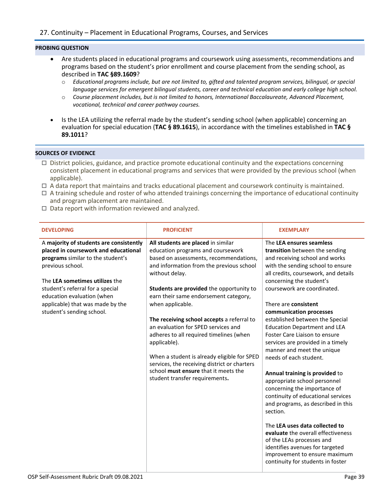- <span id="page-38-0"></span>• Are students placed in educational programs and coursework using assessments, recommendations and programs based on the student's prior enrollment and course placement from the sending school, as described in **TAC §89.1609**?
	- o *Educational programs include, but are not limited to, gifted and talented program services, bilingual, or special language services for emergent bilingual students, career and technical education and early college high school.*
	- o *Course placement includes, but is not limited to honors, International Baccalaureate, Advanced Placement, vocational, technical and career pathway courses.*
- Is the LEA utilizing the referral made by the student's sending school (when applicable) concerning an evaluation for special education (**TAC § 89.1615**), in accordance with the timelines established in **TAC § 89.1011**?

- $\Box$  District policies, guidance, and practice promote educational continuity and the expectations concerning consistent placement in educational programs and services that were provided by the previous school (when applicable).
- $\Box$  A data report that maintains and tracks educational placement and coursework continuity is maintained.
- $\Box$  A training schedule and roster of who attended trainings concerning the importance of educational continuity and program placement are maintained.
- $\Box$  Data report with information reviewed and analyzed.

| <b>DEVELOPING</b>                                                                                                                                                                                                                                                                                             | <b>PROFICIENT</b>                                                                                                                                                                                                                                                                                                                                                                                                                                                                                                                                                                                                 | <b>EXEMPLARY</b>                                                                                                                                                                                                                                                                                                                                                                                                                                                                                                                                                                                                                                                                                                                                                                                                                                                                                        |
|---------------------------------------------------------------------------------------------------------------------------------------------------------------------------------------------------------------------------------------------------------------------------------------------------------------|-------------------------------------------------------------------------------------------------------------------------------------------------------------------------------------------------------------------------------------------------------------------------------------------------------------------------------------------------------------------------------------------------------------------------------------------------------------------------------------------------------------------------------------------------------------------------------------------------------------------|---------------------------------------------------------------------------------------------------------------------------------------------------------------------------------------------------------------------------------------------------------------------------------------------------------------------------------------------------------------------------------------------------------------------------------------------------------------------------------------------------------------------------------------------------------------------------------------------------------------------------------------------------------------------------------------------------------------------------------------------------------------------------------------------------------------------------------------------------------------------------------------------------------|
| A majority of students are consistently<br>placed in coursework and educational<br>programs similar to the student's<br>previous school.<br>The LEA sometimes utilizes the<br>student's referral for a special<br>education evaluation (when<br>applicable) that was made by the<br>student's sending school. | All students are placed in similar<br>education programs and coursework<br>based on assessments, recommendations,<br>and information from the previous school<br>without delay.<br>Students are provided the opportunity to<br>earn their same endorsement category,<br>when applicable.<br>The receiving school accepts a referral to<br>an evaluation for SPED services and<br>adheres to all required timelines (when<br>applicable).<br>When a student is already eligible for SPED<br>services, the receiving district or charters<br>school must ensure that it meets the<br>student transfer requirements. | The LEA ensures seamless<br>transition between the sending<br>and receiving school and works<br>with the sending school to ensure<br>all credits, coursework, and details<br>concerning the student's<br>coursework are coordinated.<br>There are consistent<br>communication processes<br>established between the Special<br><b>Education Department and LEA</b><br>Foster Care Liaison to ensure<br>services are provided in a timely<br>manner and meet the unique<br>needs of each student.<br>Annual training is provided to<br>appropriate school personnel<br>concerning the importance of<br>continuity of educational services<br>and programs, as described in this<br>section.<br>The LEA uses data collected to<br>evaluate the overall effectiveness<br>of the LEAs processes and<br>identifies avenues for targeted<br>improvement to ensure maximum<br>continuity for students in foster |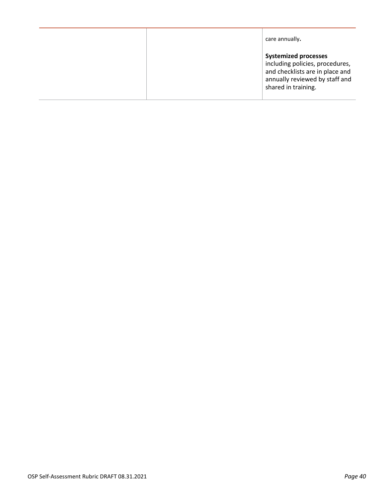|  | care annually.                                                                                                                                             |
|--|------------------------------------------------------------------------------------------------------------------------------------------------------------|
|  | <b>Systemized processes</b><br>including policies, procedures,<br>and checklists are in place and<br>annually reviewed by staff and<br>shared in training. |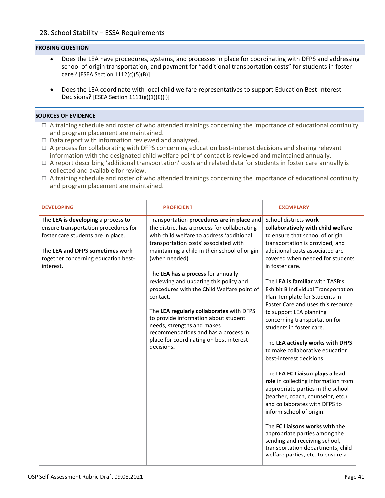- <span id="page-40-0"></span>• Does the LEA have procedures, systems, and processes in place for coordinating with DFPS and addressing school of origin transportation, and payment for "additional transportation costs" for students in foster care? [ESEA Section 1112(c)(5)(B)]
- Does the LEA coordinate with local child welfare representatives to support Education Best-Interest Decisions? [ESEA Section 1111(g)(1)(E)(i)]

- $\Box$  A training schedule and roster of who attended trainings concerning the importance of educational continuity and program placement are maintained.
- $\Box$  Data report with information reviewed and analyzed.
- $\Box$  A process for collaborating with DFPS concerning education best-interest decisions and sharing relevant information with the designated child welfare point of contact is reviewed and maintained annually.
- $\Box$  A report describing 'additional transportation' costs and related data for students in foster care annually is collected and available for review.
- $\Box$  A training schedule and roster of who attended trainings concerning the importance of educational continuity and program placement are maintained.

| <b>DEVELOPING</b>                                                                                                                                                                                       | <b>PROFICIENT</b>                                                                                                                                                                                                                                                                                                                                                                                                                                                                                                                                                                                                | <b>EXEMPLARY</b>                                                                                                                                                                                                                                                                                                                                                                                                                                                                                                                                                                                                                                                                                                                                                                                                                                                                                                                                                              |
|---------------------------------------------------------------------------------------------------------------------------------------------------------------------------------------------------------|------------------------------------------------------------------------------------------------------------------------------------------------------------------------------------------------------------------------------------------------------------------------------------------------------------------------------------------------------------------------------------------------------------------------------------------------------------------------------------------------------------------------------------------------------------------------------------------------------------------|-------------------------------------------------------------------------------------------------------------------------------------------------------------------------------------------------------------------------------------------------------------------------------------------------------------------------------------------------------------------------------------------------------------------------------------------------------------------------------------------------------------------------------------------------------------------------------------------------------------------------------------------------------------------------------------------------------------------------------------------------------------------------------------------------------------------------------------------------------------------------------------------------------------------------------------------------------------------------------|
| The LEA is developing a process to<br>ensure transportation procedures for<br>foster care students are in place.<br>The LEA and DFPS sometimes work<br>together concerning education best-<br>interest. | Transportation procedures are in place and<br>the district has a process for collaborating<br>with child welfare to address 'additional<br>transportation costs' associated with<br>maintaining a child in their school of origin<br>(when needed).<br>The LEA has a process for annually<br>reviewing and updating this policy and<br>procedures with the Child Welfare point of<br>contact.<br>The LEA regularly collaborates with DFPS<br>to provide information about student<br>needs, strengths and makes<br>recommendations and has a process in<br>place for coordinating on best-interest<br>decisions. | School districts work<br>collaboratively with child welfare<br>to ensure that school of origin<br>transportation is provided, and<br>additional costs associated are<br>covered when needed for students<br>in foster care.<br>The LEA is familiar with TASB's<br><b>Exhibit B Individual Transportation</b><br>Plan Template for Students in<br>Foster Care and uses this resource<br>to support LEA planning<br>concerning transportation for<br>students in foster care.<br>The LEA actively works with DFPS<br>to make collaborative education<br>best-interest decisions.<br>The LEA FC Liaison plays a lead<br>role in collecting information from<br>appropriate parties in the school<br>(teacher, coach, counselor, etc.)<br>and collaborates with DFPS to<br>inform school of origin.<br>The FC Liaisons works with the<br>appropriate parties among the<br>sending and receiving school,<br>transportation departments, child<br>welfare parties, etc. to ensure a |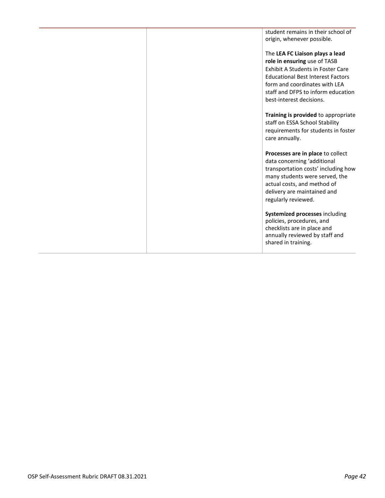student remains in their school of origin, whenever possible. The **LEA FC Liaison plays a lead role in ensuring** use of TASB Exhibit A Students in Foster Care Educational Best Interest Factors form and coordinates with LEA staff and DFPS to inform education best-interest decisions. **Training is provided** to appropriate staff on ESSA School Stability requirements for students in foster care annually. **Processes are in place** to collect data concerning 'additional transportation costs' including how many students were served, the actual costs, and method of delivery are maintained and regularly reviewed. **Systemized processes** including policies, procedures, and checklists are in place and annually reviewed by staff and shared in training.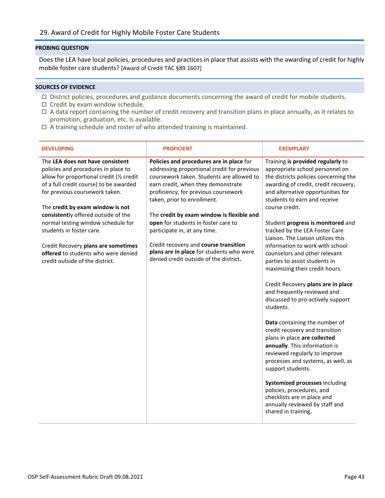<span id="page-42-0"></span>Does the LEA have local policies, procedures and practices in place that assists with the awarding of credit for highly mobile foster care students? [Award of Credit TAC §89.1607]

- □ District policies, procedures and guidance documents concerning the award of credit for mobile students.
- $\Box$  Credit by exam window schedule.
- $\Box$  A data report containing the number of credit recovery and transition plans in place annually, as it relates to promotion, graduation, etc. is available.
- $\Box$  A training schedule and roster of who attended training is maintained.

| <b>DEVELOPING</b>                                                                                                                                                                                                                                                                                                                                                                                                                                              | <b>PROFICIENT</b>                                                                                                                                                                                                                                                                                                                                                                                                                                                                                    | <b>EXEMPLARY</b>                                                                                                                                                                                                                                                                                                                                                                                                                                                                                                                                                                                                                                                                                                                                                                                                                                                                                                                                                                                               |
|----------------------------------------------------------------------------------------------------------------------------------------------------------------------------------------------------------------------------------------------------------------------------------------------------------------------------------------------------------------------------------------------------------------------------------------------------------------|------------------------------------------------------------------------------------------------------------------------------------------------------------------------------------------------------------------------------------------------------------------------------------------------------------------------------------------------------------------------------------------------------------------------------------------------------------------------------------------------------|----------------------------------------------------------------------------------------------------------------------------------------------------------------------------------------------------------------------------------------------------------------------------------------------------------------------------------------------------------------------------------------------------------------------------------------------------------------------------------------------------------------------------------------------------------------------------------------------------------------------------------------------------------------------------------------------------------------------------------------------------------------------------------------------------------------------------------------------------------------------------------------------------------------------------------------------------------------------------------------------------------------|
| The LEA does not have consistent<br>policies and procedures in place to<br>allow for proportional credit (1/2 credit<br>of a full credit course) to be awarded<br>for previous coursework taken.<br>The credit by exam window is not<br>consistently offered outside of the<br>normal testing window schedule for<br>students in foster care.<br>Credit Recovery plans are sometimes<br>offered to students who were denied<br>credit outside of the district. | Policies and procedures are in place for<br>addressing proportional credit for previous<br>coursework taken. Students are allowed to<br>earn credit, when they demonstrate<br>proficiency, for previous coursework<br>taken, prior to enrollment.<br>The credit by exam window is flexible and<br>open for students in foster care to<br>participate in, at any time.<br>Credit recovery and course transition<br>plans are in place for students who were<br>denied credit outside of the district. | Training is provided regularly to<br>appropriate school personnel on<br>the districts policies concerning the<br>awarding of credit, credit recovery,<br>and alternative opportunities for<br>students to earn and receive<br>course credit.<br>Student progress is monitored and<br>tracked by the LEA Foster Care<br>Liaison. The Liaison utilizes this<br>information to work with school<br>counselors and other relevant<br>parties to assist students in<br>maximizing their credit hours.<br>Credit Recovery plans are in place<br>and frequently reviewed and<br>discussed to pro-actively support<br>students.<br>Data containing the number of<br>credit recovery and transition<br>plans in place are collected<br>annually. This information is<br>reviewed regularly to improve<br>processes and systems, as well, as<br>support students.<br>Systemized processes including<br>policies, procedures, and<br>checklists are in place and<br>annually reviewed by staff and<br>shared in training. |
|                                                                                                                                                                                                                                                                                                                                                                                                                                                                |                                                                                                                                                                                                                                                                                                                                                                                                                                                                                                      |                                                                                                                                                                                                                                                                                                                                                                                                                                                                                                                                                                                                                                                                                                                                                                                                                                                                                                                                                                                                                |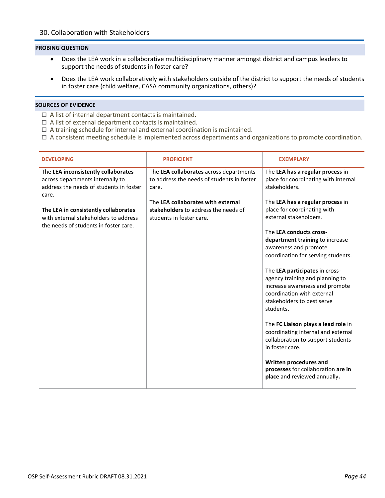- <span id="page-43-0"></span>• Does the LEA work in a collaborative multidisciplinary manner amongst district and campus leaders to support the needs of students in foster care?
- Does the LEA work collaboratively with stakeholders outside of the district to support the needs of students in foster care (child welfare, CASA community organizations, others)?

- $\Box$  A list of internal department contacts is maintained.
- $\Box$  A list of external department contacts is maintained.
- $\Box$  A training schedule for internal and external coordination is maintained.
- $\Box$  A consistent meeting schedule is implemented across departments and organizations to promote coordination.

| <b>DEVELOPING</b>                                                                                                                                                                                                                                     | <b>PROFICIENT</b>                                                                                                                                                                                        | <b>EXEMPLARY</b>                                                                                                                                                                                                                                                                                                                                                                                                                                                                                                                                                                                                                                                                                                                         |
|-------------------------------------------------------------------------------------------------------------------------------------------------------------------------------------------------------------------------------------------------------|----------------------------------------------------------------------------------------------------------------------------------------------------------------------------------------------------------|------------------------------------------------------------------------------------------------------------------------------------------------------------------------------------------------------------------------------------------------------------------------------------------------------------------------------------------------------------------------------------------------------------------------------------------------------------------------------------------------------------------------------------------------------------------------------------------------------------------------------------------------------------------------------------------------------------------------------------------|
| The LEA inconsistently collaborates<br>across departments internally to<br>address the needs of students in foster<br>care.<br>The LEA in consistently collaborates<br>with external stakeholders to address<br>the needs of students in foster care. | The LEA collaborates across departments<br>to address the needs of students in foster<br>care.<br>The LEA collaborates with external<br>stakeholders to address the needs of<br>students in foster care. | The LEA has a regular process in<br>place for coordinating with internal<br>stakeholders.<br>The LEA has a regular process in<br>place for coordinating with<br>external stakeholders.<br>The LEA conducts cross-<br>department training to increase<br>awareness and promote<br>coordination for serving students.<br>The LEA participates in cross-<br>agency training and planning to<br>increase awareness and promote<br>coordination with external<br>stakeholders to best serve<br>students.<br>The FC Liaison plays a lead role in<br>coordinating internal and external<br>collaboration to support students<br>in foster care.<br>Written procedures and<br>processes for collaboration are in<br>place and reviewed annually. |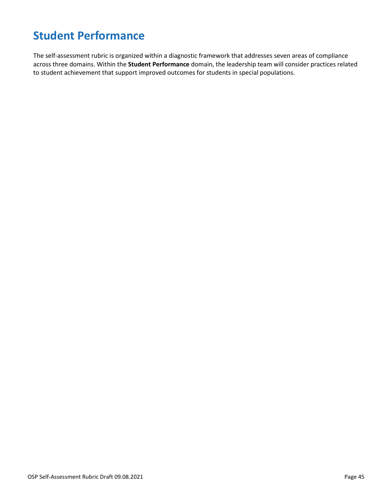# <span id="page-44-0"></span>**Student Performance**

The self-assessment rubric is organized within a diagnostic framework that addresses seven areas of compliance across three domains. Within the **Student Performance** domain, the leadership team will consider practices related to student achievement that support improved outcomes for students in special populations.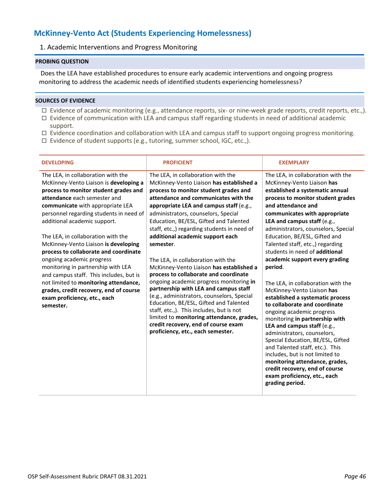# <span id="page-45-1"></span><span id="page-45-0"></span>**McKinney-Vento Act (Students Experiencing Homelessness)**

## 1. Academic Interventions and Progress Monitoring

### **PROBING QUESTION**

Does the LEA have established procedures to ensure early academic interventions and ongoing progress monitoring to address the academic needs of identified students experiencing homelessness?

- □ Evidence of academic monitoring (e.g., attendance reports, six- or nine-week grade reports, credit reports, etc.,).
- $\Box$  Evidence of communication with LEA and campus staff regarding students in need of additional academic support.
- $\Box$  Evidence coordination and collaboration with LEA and campus staff to support ongoing progress monitoring.
- $\Box$  Evidence of student supports (e.g., tutoring, summer school, IGC, etc.,).

| <b>DEVELOPING</b>                                                                                                                                                                                                                                                                                                                                                                                                                                                                                                                                                                                                                         | <b>PROFICIENT</b>                                                                                                                                                                                                                                                                                                                                                                                                                                                                                                                                                                                                                                                                                                                                                                                                                                                       | <b>EXEMPLARY</b>                                                                                                                                                                                                                                                                                                                                                                                                                                                                                                                                                                                                                                                                                                                                                                                                                                                                                                                  |
|-------------------------------------------------------------------------------------------------------------------------------------------------------------------------------------------------------------------------------------------------------------------------------------------------------------------------------------------------------------------------------------------------------------------------------------------------------------------------------------------------------------------------------------------------------------------------------------------------------------------------------------------|-------------------------------------------------------------------------------------------------------------------------------------------------------------------------------------------------------------------------------------------------------------------------------------------------------------------------------------------------------------------------------------------------------------------------------------------------------------------------------------------------------------------------------------------------------------------------------------------------------------------------------------------------------------------------------------------------------------------------------------------------------------------------------------------------------------------------------------------------------------------------|-----------------------------------------------------------------------------------------------------------------------------------------------------------------------------------------------------------------------------------------------------------------------------------------------------------------------------------------------------------------------------------------------------------------------------------------------------------------------------------------------------------------------------------------------------------------------------------------------------------------------------------------------------------------------------------------------------------------------------------------------------------------------------------------------------------------------------------------------------------------------------------------------------------------------------------|
| The LEA, in collaboration with the<br>McKinney-Vento Liaison is developing a<br>process to monitor student grades and<br>attendance each semester and<br>communicate with appropriate LEA<br>personnel regarding students in need of<br>additional academic support.<br>The LEA, in collaboration with the<br>McKinney-Vento Liaison is developing<br>process to collaborate and coordinate<br>ongoing academic progress<br>monitoring in partnership with LEA<br>and campus staff. This includes, but is<br>not limited to monitoring attendance,<br>grades, credit recovery, end of course<br>exam proficiency, etc., each<br>semester. | The LEA, in collaboration with the<br>McKinney-Vento Liaison has established a<br>process to monitor student grades and<br>attendance and communicates with the<br>appropriate LEA and campus staff (e.g.,<br>administrators, counselors, Special<br>Education, BE/ESL, Gifted and Talented<br>staff, etc.,) regarding students in need of<br>additional academic support each<br>semester.<br>The LEA, in collaboration with the<br>McKinney-Vento Liaison has established a<br>process to collaborate and coordinate<br>ongoing academic progress monitoring in<br>partnership with LEA and campus staff<br>(e.g., administrators, counselors, Special<br>Education, BE/ESL, Gifted and Talented<br>staff, etc.,). This includes, but is not<br>limited to monitoring attendance, grades,<br>credit recovery, end of course exam<br>proficiency, etc., each semester. | The LEA, in collaboration with the<br>McKinney-Vento Liaison has<br>established a systematic annual<br>process to monitor student grades<br>and attendance and<br>communicates with appropriate<br>LEA and campus staff (e.g.,<br>administrators, counselors, Special<br>Education, BE/ESL, Gifted and<br>Talented staff, etc.,) regarding<br>students in need of additional<br>academic support every grading<br>period.<br>The LEA, in collaboration with the<br>McKinney-Vento Liaison has<br>established a systematic process<br>to collaborate and coordinate<br>ongoing academic progress<br>monitoring in partnership with<br>LEA and campus staff (e.g.,<br>administrators, counselors,<br>Special Education, BE/ESL, Gifted<br>and Talented staff, etc.). This<br>includes, but is not limited to<br>monitoring attendance, grades,<br>credit recovery, end of course<br>exam proficiency, etc., each<br>grading period. |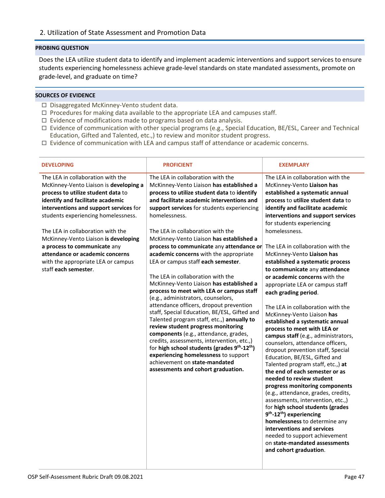<span id="page-46-0"></span>Does the LEA utilize student data to identify and implement academic interventions and support services to ensure students experiencing homelessness achieve grade-level standards on state mandated assessments, promote on grade-level, and graduate on time?

- □ Disaggregated McKinney-Vento student data.
- $\Box$  Procedures for making data available to the appropriate LEA and campuses staff.
- $\Box$  Evidence of modifications made to programs based on data analysis.
- Evidence of communication with other special programs (e.g., Special Education, BE/ESL, Career and Technical Education, Gifted and Talented, etc.,) to review and monitor student progress.
- $\Box$  Evidence of communication with LEA and campus staff of attendance or academic concerns.

| <b>DEVELOPING</b>                                                                                                                                                                                                                                                                                                                                                                                                                                    | <b>PROFICIENT</b>                                                                                                                                                                                                                                                                                                                                                                                                                                                                                                                                                                                                                                                                                                                                                                                                                                                                                                                                                                                                                                                                     | <b>EXEMPLARY</b>                                                                                                                                                                                                                                                                                                                                                                                                                                                                                                                                                                                                                                                                                                                                                                                                                                                                                                                                                                                                                                                                                                                                                                                                                                               |
|------------------------------------------------------------------------------------------------------------------------------------------------------------------------------------------------------------------------------------------------------------------------------------------------------------------------------------------------------------------------------------------------------------------------------------------------------|---------------------------------------------------------------------------------------------------------------------------------------------------------------------------------------------------------------------------------------------------------------------------------------------------------------------------------------------------------------------------------------------------------------------------------------------------------------------------------------------------------------------------------------------------------------------------------------------------------------------------------------------------------------------------------------------------------------------------------------------------------------------------------------------------------------------------------------------------------------------------------------------------------------------------------------------------------------------------------------------------------------------------------------------------------------------------------------|----------------------------------------------------------------------------------------------------------------------------------------------------------------------------------------------------------------------------------------------------------------------------------------------------------------------------------------------------------------------------------------------------------------------------------------------------------------------------------------------------------------------------------------------------------------------------------------------------------------------------------------------------------------------------------------------------------------------------------------------------------------------------------------------------------------------------------------------------------------------------------------------------------------------------------------------------------------------------------------------------------------------------------------------------------------------------------------------------------------------------------------------------------------------------------------------------------------------------------------------------------------|
| The LEA in collaboration with the<br>McKinney-Vento Liaison is developing a<br>process to utilize student data to<br>identify and facilitate academic<br>interventions and support services for<br>students experiencing homelessness.<br>The LEA in collaboration with the<br>McKinney-Vento Liaison is developing<br>a process to communicate any<br>attendance or academic concerns<br>with the appropriate LEA or campus<br>staff each semester. | The LEA in collaboration with the<br>McKinney-Vento Liaison has established a<br>process to utilize student data to identify<br>and facilitate academic interventions and<br>support services for students experiencing<br>homelessness.<br>The LEA in collaboration with the<br>McKinney-Vento Liaison has established a<br>process to communicate any attendance or<br>academic concerns with the appropriate<br>LEA or campus staff each semester.<br>The LEA in collaboration with the<br>McKinney-Vento Liaison has established a<br>process to meet with LEA or campus staff<br>(e.g., administrators, counselors,<br>attendance officers, dropout prevention<br>staff, Special Education, BE/ESL, Gifted and<br>Talented program staff, etc.,) annually to<br>review student progress monitoring<br>components (e.g., attendance, grades,<br>credits, assessments, intervention, etc.,)<br>for high school students (grades 9 <sup>th</sup> -12 <sup>th</sup> )<br>experiencing homelessness to support<br>achievement on state-mandated<br>assessments and cohort graduation. | The LEA in collaboration with the<br>McKinney-Vento Liaison has<br>established a systematic annual<br>process to utilize student data to<br>identify and facilitate academic<br>interventions and support services<br>for students experiencing<br>homelessness.<br>The LEA in collaboration with the<br>McKinney-Vento Liaison has<br>established a systematic process<br>to communicate any attendance<br>or academic concerns with the<br>appropriate LEA or campus staff<br>each grading period.<br>The LEA in collaboration with the<br>McKinney-Vento Liaison has<br>established a systematic annual<br>process to meet with LEA or<br>campus staff (e.g., administrators,<br>counselors, attendance officers,<br>dropout prevention staff, Special<br>Education, BE/ESL, Gifted and<br>Talented program staff, etc.,) at<br>the end of each semester or as<br>needed to review student<br>progress monitoring components<br>(e.g., attendance, grades, credits,<br>assessments, intervention, etc.,)<br>for high school students (grades<br>9 <sup>th</sup> -12 <sup>th</sup> ) experiencing<br>homelessness to determine any<br>interventions and services<br>needed to support achievement<br>on state-mandated assessments<br>and cohort graduation. |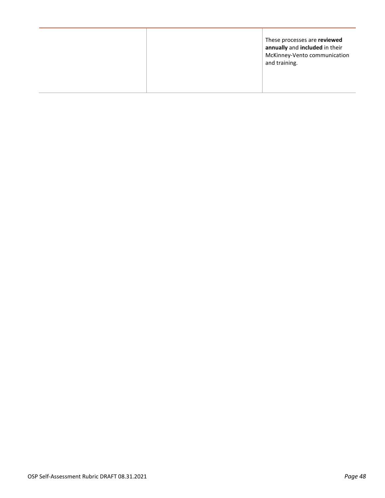|  | and training. | These processes are reviewed<br>annually and included in their<br>McKinney-Vento communication |
|--|---------------|------------------------------------------------------------------------------------------------|
|--|---------------|------------------------------------------------------------------------------------------------|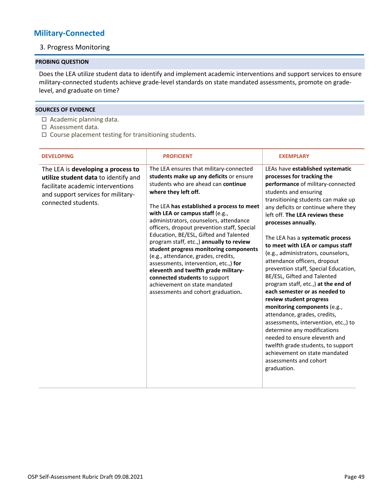## <span id="page-48-1"></span><span id="page-48-0"></span>**Military-Connected**

## 3. Progress Monitoring

## **PROBING QUESTION**

Does the LEA utilize student data to identify and implement academic interventions and support services to ensure military-connected students achieve grade-level standards on state mandated assessments, promote on gradelevel, and graduate on time?

- $\Box$  Academic planning data.
- Assessment data.
- $\Box$  Course placement testing for transitioning students.

| <b>DEVELOPING</b>                                                                                                                                                            | <b>PROFICIENT</b>                                                                                                                                                                                                                                                                                                                                                                                                                                                                                                                                                                                                                                                                          | <b>EXEMPLARY</b>                                                                                                                                                                                                                                                                                                                                                                                                                                                                                                                                                                                                                                                                                                                                                                                                                                                                    |
|------------------------------------------------------------------------------------------------------------------------------------------------------------------------------|--------------------------------------------------------------------------------------------------------------------------------------------------------------------------------------------------------------------------------------------------------------------------------------------------------------------------------------------------------------------------------------------------------------------------------------------------------------------------------------------------------------------------------------------------------------------------------------------------------------------------------------------------------------------------------------------|-------------------------------------------------------------------------------------------------------------------------------------------------------------------------------------------------------------------------------------------------------------------------------------------------------------------------------------------------------------------------------------------------------------------------------------------------------------------------------------------------------------------------------------------------------------------------------------------------------------------------------------------------------------------------------------------------------------------------------------------------------------------------------------------------------------------------------------------------------------------------------------|
| The LEA is developing a process to<br>utilize student data to identify and<br>facilitate academic interventions<br>and support services for military-<br>connected students. | The LEA ensures that military-connected<br>students make up any deficits or ensure<br>students who are ahead can continue<br>where they left off.<br>The LEA has established a process to meet<br>with LEA or campus staff (e.g.,<br>administrators, counselors, attendance<br>officers, dropout prevention staff, Special<br>Education, BE/ESL, Gifted and Talented<br>program staff, etc.,) annually to review<br>student progress monitoring components<br>(e.g., attendance, grades, credits,<br>assessments, intervention, etc.,) for<br>eleventh and twelfth grade military-<br>connected students to support<br>achievement on state mandated<br>assessments and cohort graduation. | LEAs have established systematic<br>processes for tracking the<br>performance of military-connected<br>students and ensuring<br>transitioning students can make up<br>any deficits or continue where they<br>left off. The LEA reviews these<br>processes annually.<br>The LEA has a systematic process<br>to meet with LEA or campus staff<br>(e.g., administrators, counselors,<br>attendance officers, dropout<br>prevention staff, Special Education,<br>BE/ESL, Gifted and Talented<br>program staff, etc.,) at the end of<br>each semester or as needed to<br>review student progress<br>monitoring components (e.g.,<br>attendance, grades, credits,<br>assessments, intervention, etc.,) to<br>determine any modifications<br>needed to ensure eleventh and<br>twelfth grade students, to support<br>achievement on state mandated<br>assessments and cohort<br>graduation. |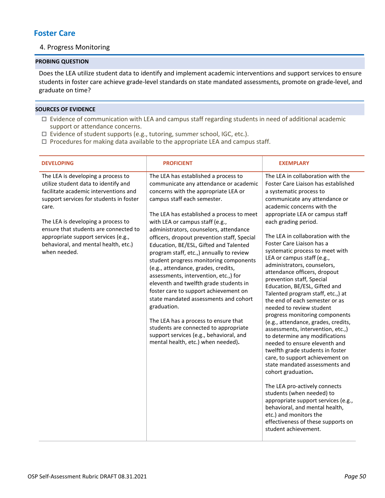## <span id="page-49-1"></span><span id="page-49-0"></span>**Foster Care**

## 4. Progress Monitoring

## **PROBING QUESTION**

Does the LEA utilize student data to identify and implement academic interventions and support services to ensure students in foster care achieve grade-level standards on state mandated assessments, promote on grade-level, and graduate on time?

- $\Box$  Evidence of communication with LEA and campus staff regarding students in need of additional academic support or attendance concerns.
- □ Evidence of student supports (e.g., tutoring, summer school, IGC, etc.).
- $\Box$  Procedures for making data available to the appropriate LEA and campus staff.

| <b>DEVELOPING</b>                                                                                                                                                                                                                                                                                                                                     | <b>PROFICIENT</b>                                                                                                                                                                                                                                                                                                                                                                                                                                                                                                                                                                                                                                                                                                                                                                                                                                           | <b>EXEMPLARY</b>                                                                                                                                                                                                                                                                                                                                                                                                                                                                                                                                                                                                                                                                                                                                                                                                                                                                                                                                                                                                                                                                                                                                |
|-------------------------------------------------------------------------------------------------------------------------------------------------------------------------------------------------------------------------------------------------------------------------------------------------------------------------------------------------------|-------------------------------------------------------------------------------------------------------------------------------------------------------------------------------------------------------------------------------------------------------------------------------------------------------------------------------------------------------------------------------------------------------------------------------------------------------------------------------------------------------------------------------------------------------------------------------------------------------------------------------------------------------------------------------------------------------------------------------------------------------------------------------------------------------------------------------------------------------------|-------------------------------------------------------------------------------------------------------------------------------------------------------------------------------------------------------------------------------------------------------------------------------------------------------------------------------------------------------------------------------------------------------------------------------------------------------------------------------------------------------------------------------------------------------------------------------------------------------------------------------------------------------------------------------------------------------------------------------------------------------------------------------------------------------------------------------------------------------------------------------------------------------------------------------------------------------------------------------------------------------------------------------------------------------------------------------------------------------------------------------------------------|
| The LEA is developing a process to<br>utilize student data to identify and<br>facilitate academic interventions and<br>support services for students in foster<br>care.<br>The LEA is developing a process to<br>ensure that students are connected to<br>appropriate support services (e.g.,<br>behavioral, and mental health, etc.)<br>when needed. | The LEA has established a process to<br>communicate any attendance or academic<br>concerns with the appropriate LEA or<br>campus staff each semester.<br>The LEA has established a process to meet<br>with LEA or campus staff (e.g.,<br>administrators, counselors, attendance<br>officers, dropout prevention staff, Special<br>Education, BE/ESL, Gifted and Talented<br>program staff, etc.,) annually to review<br>student progress monitoring components<br>(e.g., attendance, grades, credits,<br>assessments, intervention, etc.,) for<br>eleventh and twelfth grade students in<br>foster care to support achievement on<br>state mandated assessments and cohort<br>graduation.<br>The LEA has a process to ensure that<br>students are connected to appropriate<br>support services (e.g., behavioral, and<br>mental health, etc.) when needed). | The LEA in collaboration with the<br>Foster Care Liaison has established<br>a systematic process to<br>communicate any attendance or<br>academic concerns with the<br>appropriate LEA or campus staff<br>each grading period.<br>The LEA in collaboration with the<br>Foster Care Liaison has a<br>systematic process to meet with<br>LEA or campus staff (e.g.,<br>administrators, counselors,<br>attendance officers, dropout<br>prevention staff, Special<br>Education, BE/ESL, Gifted and<br>Talented program staff, etc.,) at<br>the end of each semester or as<br>needed to review student<br>progress monitoring components<br>(e.g., attendance, grades, credits,<br>assessments, intervention, etc.,)<br>to determine any modifications<br>needed to ensure eleventh and<br>twelfth grade students in foster<br>care, to support achievement on<br>state mandated assessments and<br>cohort graduation.<br>The LEA pro-actively connects<br>students (when needed) to<br>appropriate support services (e.g.,<br>behavioral, and mental health,<br>etc.) and monitors the<br>effectiveness of these supports on<br>student achievement. |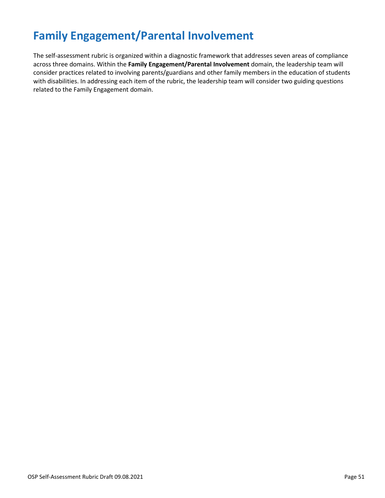# <span id="page-50-0"></span>**Family Engagement/Parental Involvement**

The self-assessment rubric is organized within a diagnostic framework that addresses seven areas of compliance across three domains. Within the **Family Engagement/Parental Involvement** domain, the leadership team will consider practices related to involving parents/guardians and other family members in the education of students with disabilities. In addressing each item of the rubric, the leadership team will consider two guiding questions related to the Family Engagement domain.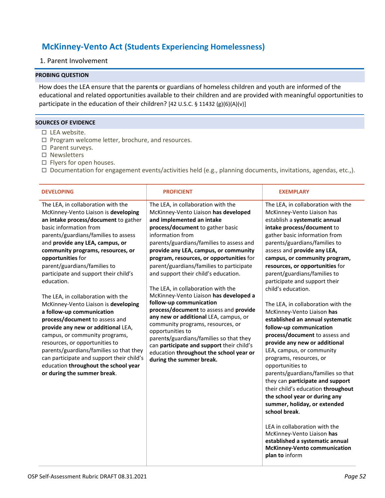# <span id="page-51-0"></span>**McKinney-Vento Act (Students Experiencing Homelessness)**

## <span id="page-51-1"></span>1. Parent Involvement

### **PROBING QUESTION**

How does the LEA ensure that the parent**s** or guardians of homeless children and youth are informed of the educational and related opportunities available to their children and are provided with meaningful opportunities to participate in the education of their children? [42 U.S.C. § 11432 (g)(6)(A)(v)]

- $\square$  LEA website.
- $\Box$  Program welcome letter, brochure, and resources.
- □ Parent surveys.
- □ Newsletters
- $\Box$  Flyers for open houses.
- Documentation for engagement events/activities held (e.g., planning documents, invitations, agendas, etc.,).

| <b>DEVELOPING</b>                                                                                                                                                                                                                                                                                                                                                                                                                                                                                                                                                                                                                                                                                                                                                                              | <b>PROFICIENT</b>                                                                                                                                                                                                                                                                                                                                                                                                                                                                                                                                                                                                                                                                                                                                                                                          | <b>EXEMPLARY</b>                                                                                                                                                                                                                                                                                                                                                                                                                                                                                                                                                                                                                                                                                                                                                                                                                                                                                                                                                                                                                           |
|------------------------------------------------------------------------------------------------------------------------------------------------------------------------------------------------------------------------------------------------------------------------------------------------------------------------------------------------------------------------------------------------------------------------------------------------------------------------------------------------------------------------------------------------------------------------------------------------------------------------------------------------------------------------------------------------------------------------------------------------------------------------------------------------|------------------------------------------------------------------------------------------------------------------------------------------------------------------------------------------------------------------------------------------------------------------------------------------------------------------------------------------------------------------------------------------------------------------------------------------------------------------------------------------------------------------------------------------------------------------------------------------------------------------------------------------------------------------------------------------------------------------------------------------------------------------------------------------------------------|--------------------------------------------------------------------------------------------------------------------------------------------------------------------------------------------------------------------------------------------------------------------------------------------------------------------------------------------------------------------------------------------------------------------------------------------------------------------------------------------------------------------------------------------------------------------------------------------------------------------------------------------------------------------------------------------------------------------------------------------------------------------------------------------------------------------------------------------------------------------------------------------------------------------------------------------------------------------------------------------------------------------------------------------|
| The LEA, in collaboration with the<br>McKinney-Vento Liaison is developing<br>an intake process/document to gather<br>basic information from<br>parents/guardians/families to assess<br>and provide any LEA, campus, or<br>community programs, resources, or<br>opportunities for<br>parent/guardians/families to<br>participate and support their child's<br>education.<br>The LEA, in collaboration with the<br>McKinney-Vento Liaison is developing<br>a follow-up communication<br>process/document to assess and<br>provide any new or additional LEA,<br>campus, or community programs,<br>resources, or opportunities to<br>parents/guardians/families so that they<br>can participate and support their child's<br>education throughout the school year<br>or during the summer break. | The LEA, in collaboration with the<br>McKinney-Vento Liaison has developed<br>and implemented an intake<br>process/document to gather basic<br>information from<br>parents/guardians/families to assess and<br>provide any LEA, campus, or community<br>program, resources, or opportunities for<br>parent/guardians/families to participate<br>and support their child's education.<br>The LEA, in collaboration with the<br>McKinney-Vento Liaison has developed a<br>follow-up communication<br>process/document to assess and provide<br>any new or additional LEA, campus, or<br>community programs, resources, or<br>opportunities to<br>parents/guardians/families so that they<br>can participate and support their child's<br>education throughout the school year or<br>during the summer break. | The LEA, in collaboration with the<br>McKinney-Vento Liaison has<br>establish a systematic annual<br>intake process/document to<br>gather basic information from<br>parents/guardians/families to<br>assess and provide any LEA,<br>campus, or community program,<br>resources, or opportunities for<br>parent/guardians/families to<br>participate and support their<br>child's education.<br>The LEA, in collaboration with the<br>McKinney-Vento Liaison has<br>established an annual systematic<br>follow-up communication<br>process/document to assess and<br>provide any new or additional<br>LEA, campus, or community<br>programs, resources, or<br>opportunities to<br>parents/guardians/families so that<br>they can participate and support<br>their child's education throughout<br>the school year or during any<br>summer, holiday, or extended<br>school break.<br>LEA in collaboration with the<br>McKinney-Vento Liaison has<br>established a systematic annual<br><b>McKinney-Vento communication</b><br>plan to inform |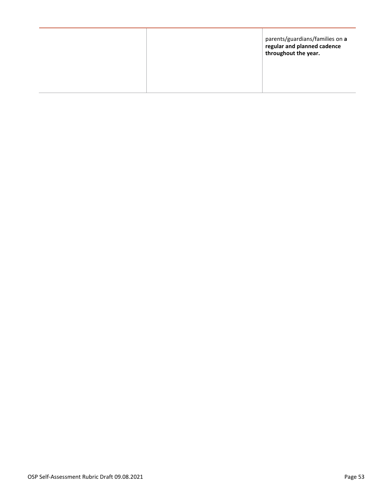|  | parents/guardians/families on a<br>regular and planned cadence<br>throughout the year. |
|--|----------------------------------------------------------------------------------------|
|  |                                                                                        |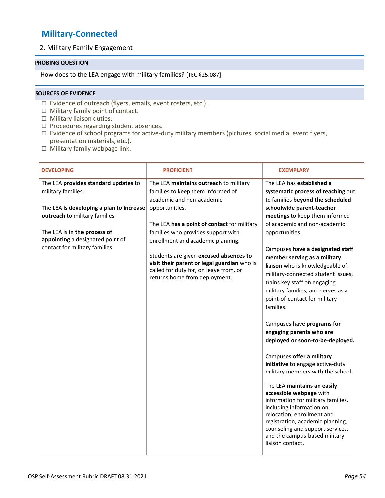# <span id="page-53-0"></span>**Military-Connected**

## <span id="page-53-1"></span>2. Military Family Engagement

## **PROBING QUESTION**

How does to the LEA engage with military families? [TEC §25.087]

- $\Box$  Evidence of outreach (flyers, emails, event rosters, etc.).
- $\Box$  Military family point of contact.
- $\Box$  Military liaison duties.
- $\Box$  Procedures regarding student absences.
- $\Box$  Evidence of school programs for active-duty military members (pictures, social media, event flyers, presentation materials, etc.).
- $\Box$  Military family webpage link.

| <b>DEVELOPING</b>                        | <b>PROFICIENT</b>                                                                                                                                                | <b>EXEMPLARY</b>                                                                                                                                                                                                                                                                                                                                                                          |
|------------------------------------------|------------------------------------------------------------------------------------------------------------------------------------------------------------------|-------------------------------------------------------------------------------------------------------------------------------------------------------------------------------------------------------------------------------------------------------------------------------------------------------------------------------------------------------------------------------------------|
| The LEA provides standard updates to     | The LEA maintains outreach to military                                                                                                                           | The LEA has established a                                                                                                                                                                                                                                                                                                                                                                 |
| military families.                       | families to keep them informed of                                                                                                                                | systematic process of reaching out                                                                                                                                                                                                                                                                                                                                                        |
|                                          | academic and non-academic                                                                                                                                        | to families beyond the scheduled                                                                                                                                                                                                                                                                                                                                                          |
| The LEA is developing a plan to increase | opportunities.                                                                                                                                                   | schoolwide parent-teacher                                                                                                                                                                                                                                                                                                                                                                 |
| outreach to military families.           |                                                                                                                                                                  | meetings to keep them informed                                                                                                                                                                                                                                                                                                                                                            |
|                                          | The LEA has a point of contact for military                                                                                                                      | of academic and non-academic                                                                                                                                                                                                                                                                                                                                                              |
| The LEA is in the process of             | families who provides support with                                                                                                                               | opportunities.                                                                                                                                                                                                                                                                                                                                                                            |
| appointing a designated point of         | enrollment and academic planning.                                                                                                                                |                                                                                                                                                                                                                                                                                                                                                                                           |
| contact for military families.           |                                                                                                                                                                  | Campuses have a designated staff                                                                                                                                                                                                                                                                                                                                                          |
|                                          | Students are given excused absences to<br>visit their parent or legal guardian who is<br>called for duty for, on leave from, or<br>returns home from deployment. | member serving as a military<br>liaison who is knowledgeable of<br>military-connected student issues,<br>trains key staff on engaging<br>military families, and serves as a<br>point-of-contact for military<br>families.                                                                                                                                                                 |
|                                          |                                                                                                                                                                  | Campuses have programs for                                                                                                                                                                                                                                                                                                                                                                |
|                                          |                                                                                                                                                                  | engaging parents who are                                                                                                                                                                                                                                                                                                                                                                  |
|                                          |                                                                                                                                                                  | deployed or soon-to-be-deployed.                                                                                                                                                                                                                                                                                                                                                          |
|                                          |                                                                                                                                                                  | Campuses offer a military<br>initiative to engage active-duty<br>military members with the school.<br>The LEA maintains an easily<br>accessible webpage with<br>information for military families,<br>including information on<br>relocation, enrollment and<br>registration, academic planning,<br>counseling and support services,<br>and the campus-based military<br>liaison contact. |